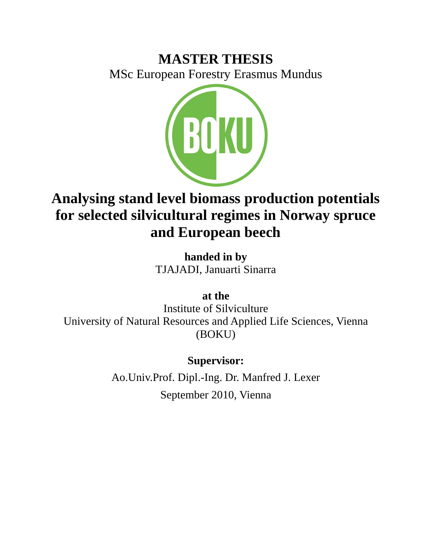# **MASTER THESIS**

MSc European Forestry Erasmus Mundus



# **Analysing stand level biomass production potentials for selected silvicultural regimes in Norway spruce and European beech**

**handed in by** TJAJADI, Januarti Sinarra

**at the**

Institute of Silviculture University of Natural Resources and Applied Life Sciences, Vienna (BOKU)

**Supervisor:**

Ao.Univ.Prof. Dipl.-Ing. Dr. Manfred J. Lexer September 2010, Vienna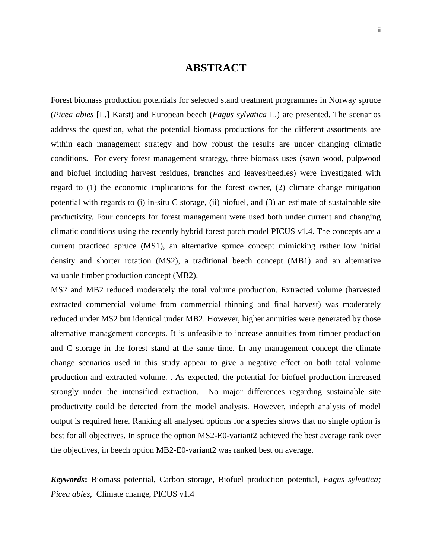## **ABSTRACT**

<span id="page-1-0"></span>Forest biomass production potentials for selected stand treatment programmes in Norway spruce (*Picea abies* [L.] Karst) and European beech (*Fagus sylvatica* L.) are presented. The scenarios address the question, what the potential biomass productions for the different assortments are within each management strategy and how robust the results are under changing climatic conditions. For every forest management strategy, three biomass uses (sawn wood, pulpwood and biofuel including harvest residues, branches and leaves/needles) were investigated with regard to (1) the economic implications for the forest owner, (2) climate change mitigation potential with regards to (i) in-situ C storage, (ii) biofuel, and (3) an estimate of sustainable site productivity. Four concepts for forest management were used both under current and changing climatic conditions using the recently hybrid forest patch model PICUS v1.4. The concepts are a current practiced spruce (MS1), an alternative spruce concept mimicking rather low initial density and shorter rotation (MS2), a traditional beech concept (MB1) and an alternative valuable timber production concept (MB2).

MS2 and MB2 reduced moderately the total volume production. Extracted volume (harvested extracted commercial volume from commercial thinning and final harvest) was moderately reduced under MS2 but identical under MB2. However, higher annuities were generated by those alternative management concepts. It is unfeasible to increase annuities from timber production and C storage in the forest stand at the same time. In any management concept the climate change scenarios used in this study appear to give a negative effect on both total volume production and extracted volume. . As expected, the potential for biofuel production increased strongly under the intensified extraction. No major differences regarding sustainable site productivity could be detected from the model analysis. However, indepth analysis of model output is required here. Ranking all analysed options for a species shows that no single option is best for all objectives. In spruce the option MS2-E0-variant2 achieved the best average rank over the objectives, in beech option MB2-E0-variant2 was ranked best on average.

*Keywords***:** Biomass potential, Carbon storage, Biofuel production potential, *Fagus sylvatica; Picea abies,* Climate change, PICUS v1.4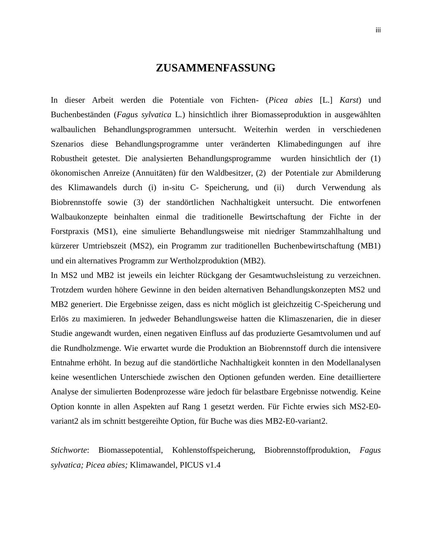### **ZUSAMMENFASSUNG**

In dieser Arbeit werden die Potentiale von Fichten- (*Picea abies* [L.] *Karst*) und Buchenbeständen (*Fagus sylvatica* L*.*) hinsichtlich ihrer Biomasseproduktion in ausgewählten walbaulichen Behandlungsprogrammen untersucht. Weiterhin werden in verschiedenen Szenarios diese Behandlungsprogramme unter veränderten Klimabedingungen auf ihre Robustheit getestet. Die analysierten Behandlungsprogramme wurden hinsichtlich der (1) ökonomischen Anreize (Annuitäten) für den Waldbesitzer, (2) der Potentiale zur Abmilderung des Klimawandels durch (i) in-situ C- Speicherung, und (ii) durch Verwendung als Biobrennstoffe sowie (3) der standörtlichen Nachhaltigkeit untersucht. Die entworfenen Walbaukonzepte beinhalten einmal die traditionelle Bewirtschaftung der Fichte in der Forstpraxis (MS1), eine simulierte Behandlungsweise mit niedriger Stammzahlhaltung und kürzerer Umtriebszeit (MS2), ein Programm zur traditionellen Buchenbewirtschaftung (MB1) und ein alternatives Programm zur Wertholzproduktion (MB2).

In MS2 und MB2 ist jeweils ein leichter Rückgang der Gesamtwuchsleistung zu verzeichnen. Trotzdem wurden höhere Gewinne in den beiden alternativen Behandlungskonzepten MS2 und MB2 generiert. Die Ergebnisse zeigen, dass es nicht möglich ist gleichzeitig C-Speicherung und Erlös zu maximieren. In jedweder Behandlungsweise hatten die Klimaszenarien, die in dieser Studie angewandt wurden, einen negativen Einfluss auf das produzierte Gesamtvolumen und auf die Rundholzmenge. Wie erwartet wurde die Produktion an Biobrennstoff durch die intensivere Entnahme erhöht. In bezug auf die standörtliche Nachhaltigkeit konnten in den Modellanalysen keine wesentlichen Unterschiede zwischen den Optionen gefunden werden. Eine detailliertere Analyse der simulierten Bodenprozesse wäre jedoch für belastbare Ergebnisse notwendig. Keine Option konnte in allen Aspekten auf Rang 1 gesetzt werden. Für Fichte erwies sich MS2-E0 variant2 als im schnitt bestgereihte Option, für Buche was dies MB2-E0-variant2.

*Stichworte*: Biomassepotential, Kohlenstoffspeicherung, Biobrennstoffproduktion, *Fagus sylvatica; Picea abies;* Klimawandel, PICUS v1.4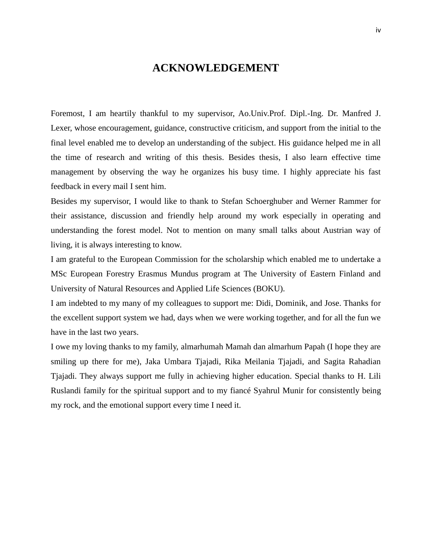### **ACKNOWLEDGEMENT**

<span id="page-3-0"></span>Foremost, I am heartily thankful to my supervisor, Ao.Univ.Prof. Dipl.-Ing. Dr. Manfred J. Lexer, whose encouragement, guidance, constructive criticism, and support from the initial to the final level enabled me to develop an understanding of the subject. His guidance helped me in all the time of research and writing of this thesis. Besides thesis, I also learn effective time management by observing the way he organizes his busy time. I highly appreciate his fast feedback in every mail I sent him.

Besides my supervisor, I would like to thank to Stefan Schoerghuber and Werner Rammer for their assistance, discussion and friendly help around my work especially in operating and understanding the forest model. Not to mention on many small talks about Austrian way of living, it is always interesting to know.

I am grateful to the European Commission for the scholarship which enabled me to undertake a MSc European Forestry Erasmus Mundus program at The University of Eastern Finland and University of Natural Resources and Applied Life Sciences (BOKU).

I am indebted to my many of my colleagues to support me: Didi, Dominik, and Jose. Thanks for the excellent support system we had, days when we were working together, and for all the fun we have in the last two years.

I owe my loving thanks to my family, almarhumah Mamah dan almarhum Papah (I hope they are smiling up there for me), Jaka Umbara Tjajadi, Rika Meilania Tjajadi, and Sagita Rahadian Tjajadi. They always support me fully in achieving higher education. Special thanks to H. Lili Ruslandi family for the spiritual support and to my fiancé Syahrul Munir for consistently being my rock, and the emotional support every time I need it.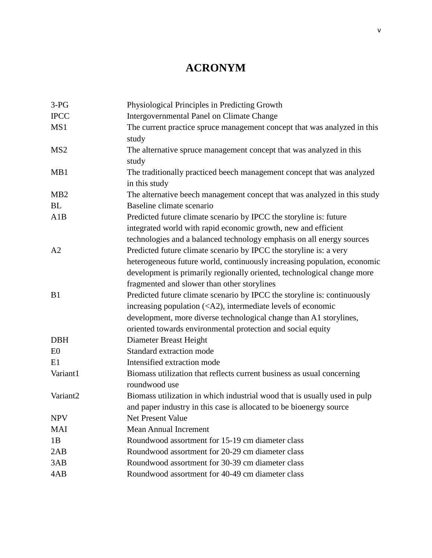## **ACRONYM**

<span id="page-4-0"></span>

| $3-PG$           | Physiological Principles in Predicting Growth                                            |
|------------------|------------------------------------------------------------------------------------------|
| <b>IPCC</b>      | Intergovernmental Panel on Climate Change                                                |
| MS1              | The current practice spruce management concept that was analyzed in this                 |
|                  | study                                                                                    |
| MS <sub>2</sub>  | The alternative spruce management concept that was analyzed in this                      |
|                  | study                                                                                    |
| MB1              | The traditionally practiced beech management concept that was analyzed                   |
|                  | in this study                                                                            |
| M <sub>B</sub> 2 | The alternative beech management concept that was analyzed in this study                 |
| <b>BL</b>        | Baseline climate scenario                                                                |
| A1B              | Predicted future climate scenario by IPCC the storyline is: future                       |
|                  | integrated world with rapid economic growth, new and efficient                           |
|                  | technologies and a balanced technology emphasis on all energy sources                    |
| A2               | Predicted future climate scenario by IPCC the storyline is: a very                       |
|                  | heterogeneous future world, continuously increasing population, economic                 |
|                  | development is primarily regionally oriented, technological change more                  |
|                  | fragmented and slower than other storylines                                              |
| B1               | Predicted future climate scenario by IPCC the storyline is: continuously                 |
|                  | increasing population ( <a2), economic<="" intermediate="" levels="" of="" td=""></a2),> |
|                  | development, more diverse technological change than A1 storylines,                       |
|                  | oriented towards environmental protection and social equity                              |
| <b>DBH</b>       | Diameter Breast Height                                                                   |
| E0               | Standard extraction mode                                                                 |
| E1               | Intensified extraction mode                                                              |
| Variant1         | Biomass utilization that reflects current business as usual concerning                   |
|                  | roundwood use                                                                            |
| Variant2         | Biomass utilization in which industrial wood that is usually used in pulp                |
|                  | and paper industry in this case is allocated to be bioenergy source                      |
| <b>NPV</b>       | Net Present Value                                                                        |
| <b>MAI</b>       | <b>Mean Annual Increment</b>                                                             |
| 1B               | Roundwood assortment for 15-19 cm diameter class                                         |
| 2AB              | Roundwood assortment for 20-29 cm diameter class                                         |
| 3AB              | Roundwood assortment for 30-39 cm diameter class                                         |
| 4AB              | Roundwood assortment for 40-49 cm diameter class                                         |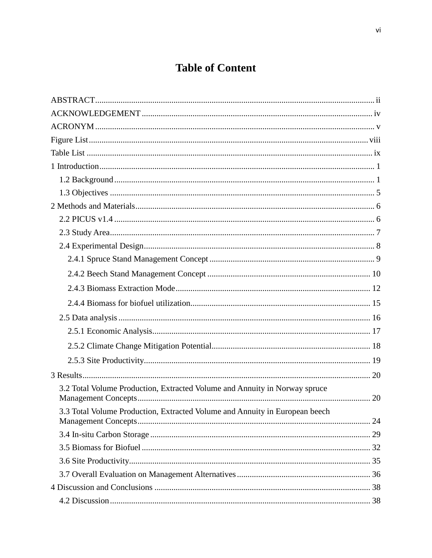## **Table of Content**

| 3.2 Total Volume Production, Extracted Volume and Annuity in Norway spruce  |  |
|-----------------------------------------------------------------------------|--|
| 3.3 Total Volume Production, Extracted Volume and Annuity in European beech |  |
|                                                                             |  |
|                                                                             |  |
|                                                                             |  |
|                                                                             |  |
|                                                                             |  |
|                                                                             |  |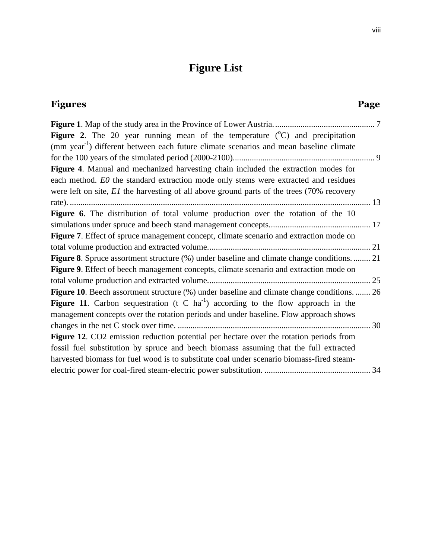## **Figure List**

<span id="page-7-0"></span>

| Figures                                                                                                                                                                                                                                                                | Page |
|------------------------------------------------------------------------------------------------------------------------------------------------------------------------------------------------------------------------------------------------------------------------|------|
|                                                                                                                                                                                                                                                                        |      |
| <b>Figure 2.</b> The 20 year running mean of the temperature $({}^{\circ}C)$ and precipitation<br>(mm year <sup>-1</sup> ) different between each future climate scenarios and mean baseline climate                                                                   |      |
|                                                                                                                                                                                                                                                                        |      |
| Figure 4. Manual and mechanized harvesting chain included the extraction modes for<br>each method. EO the standard extraction mode only stems were extracted and residues<br>were left on site, El the harvesting of all above ground parts of the trees (70% recovery |      |
|                                                                                                                                                                                                                                                                        |      |
| Figure 6. The distribution of total volume production over the rotation of the 10                                                                                                                                                                                      |      |
|                                                                                                                                                                                                                                                                        |      |
| Figure 7. Effect of spruce management concept, climate scenario and extraction mode on                                                                                                                                                                                 |      |
|                                                                                                                                                                                                                                                                        |      |
| Figure 8. Spruce assortment structure (%) under baseline and climate change conditions.  21                                                                                                                                                                            |      |
| Figure 9. Effect of beech management concepts, climate scenario and extraction mode on                                                                                                                                                                                 |      |
|                                                                                                                                                                                                                                                                        |      |
| Figure 10. Beech assortment structure (%) under baseline and climate change conditions.  26                                                                                                                                                                            |      |
| <b>Figure 11.</b> Carbon sequestration (t C ha <sup>-1</sup> ) according to the flow approach in the<br>management concepts over the rotation periods and under baseline. Flow approach shows                                                                          | 30   |
| Figure 12. CO2 emission reduction potential per hectare over the rotation periods from                                                                                                                                                                                 |      |
| fossil fuel substitution by spruce and beech biomass assuming that the full extracted<br>harvested biomass for fuel wood is to substitute coal under scenario biomass-fired steam-                                                                                     |      |
|                                                                                                                                                                                                                                                                        |      |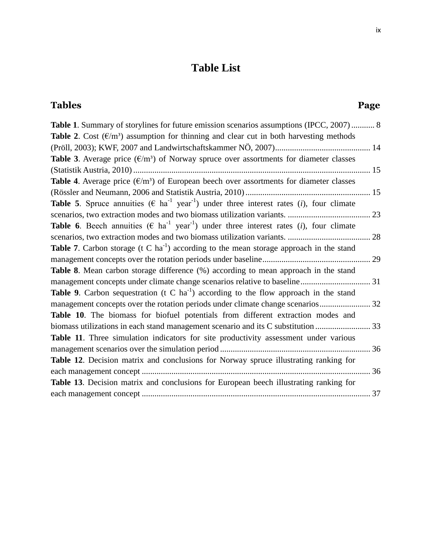## **Table List**

<span id="page-8-0"></span>

| <b>Table 1.</b> Summary of storylines for future emission scenarios assumptions (IPCC, 2007)  8                                            |  |
|--------------------------------------------------------------------------------------------------------------------------------------------|--|
| <b>Table 2.</b> Cost $(\mathcal{E}/m^3)$ assumption for thinning and clear cut in both harvesting methods                                  |  |
|                                                                                                                                            |  |
| Table 3. Average price $(\epsilon/m^3)$ of Norway spruce over assortments for diameter classes                                             |  |
|                                                                                                                                            |  |
| Table 4. Average price $(\epsilon/m^3)$ of European beech over assortments for diameter classes                                            |  |
|                                                                                                                                            |  |
| <b>Table 5</b> . Spruce annuities ( $\epsilon$ ha <sup>-1</sup> year <sup>-1</sup> ) under three interest rates ( <i>i</i> ), four climate |  |
|                                                                                                                                            |  |
| <b>Table 6.</b> Beech annuities ( $\epsilon$ ha <sup>-1</sup> year <sup>-1</sup> ) under three interest rates (i), four climate            |  |
|                                                                                                                                            |  |
| <b>Table 7.</b> Carbon storage (t C ha <sup>-1</sup> ) according to the mean storage approach in the stand                                 |  |
|                                                                                                                                            |  |
| Table 8. Mean carbon storage difference (%) according to mean approach in the stand                                                        |  |
|                                                                                                                                            |  |
| <b>Table 9.</b> Carbon sequestration (t C ha <sup>-1</sup> ) according to the flow approach in the stand                                   |  |
|                                                                                                                                            |  |
| Table 10. The biomass for biofuel potentials from different extraction modes and                                                           |  |
|                                                                                                                                            |  |
| Table 11. Three simulation indicators for site productivity assessment under various                                                       |  |
|                                                                                                                                            |  |
| Table 12. Decision matrix and conclusions for Norway spruce illustrating ranking for                                                       |  |
| 36                                                                                                                                         |  |
| Table 13. Decision matrix and conclusions for European beech illustrating ranking for                                                      |  |
|                                                                                                                                            |  |
|                                                                                                                                            |  |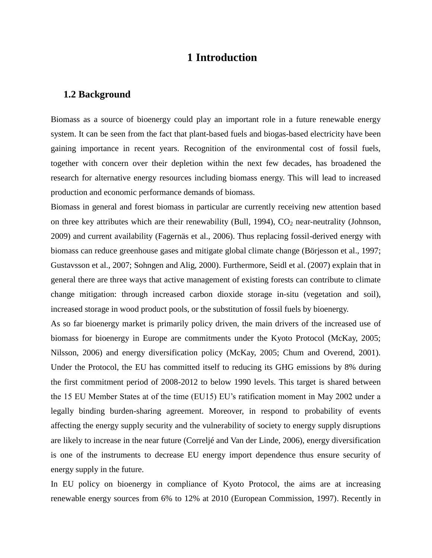## **1 Introduction**

#### <span id="page-9-1"></span><span id="page-9-0"></span>**1.2 Background**

Biomass as a source of bioenergy could play an important role in a future renewable energy system. It can be seen from the fact that plant-based fuels and biogas-based electricity have been gaining importance in recent years. Recognition of the environmental cost of fossil fuels, together with concern over their depletion within the next few decades, has broadened the research for alternative energy resources including biomass energy. This will lead to increased production and economic performance demands of biomass.

Biomass in general and forest biomass in particular are currently receiving new attention based on three key attributes which are their renewability (Bull, 1994),  $CO<sub>2</sub>$  near-neutrality (Johnson, 2009) and current availability (Fagernäs et al., 2006). Thus replacing fossil-derived energy with biomass can reduce greenhouse gases and mitigate global climate change (Börjesson et al., 1997; Gustavsson et al., 2007; Sohngen and Alig, 2000). Furthermore, Seidl et al. (2007) explain that in general there are three ways that active management of existing forests can contribute to climate change mitigation: through increased carbon dioxide storage in-situ (vegetation and soil), increased storage in wood product pools, or the substitution of fossil fuels by bioenergy.

As so far bioenergy market is primarily policy driven, the main drivers of the increased use of biomass for bioenergy in Europe are commitments under the Kyoto Protocol (McKay, 2005; Nilsson, 2006) and energy diversification policy (McKay, 2005; Chum and Overend, 2001). Under the Protocol, the EU has committed itself to reducing its GHG emissions by 8% during the first commitment period of 2008-2012 to below 1990 levels. This target is shared between the 15 EU Member States at of the time (EU15) EU's ratification moment in May 2002 under a legally binding burden-sharing agreement. Moreover, in respond to probability of events affecting the energy supply security and the vulnerability of society to energy supply disruptions are likely to increase in the near future (Correljé and Van der Linde, 2006), energy diversification is one of the instruments to decrease EU energy import dependence thus ensure security of energy supply in the future.

In EU policy on bioenergy in compliance of Kyoto Protocol, the aims are at increasing renewable energy sources from 6% to 12% at 2010 (European Commission, 1997). Recently in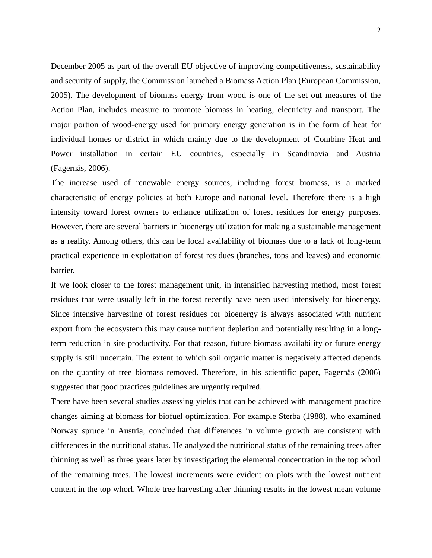December 2005 as part of the overall EU objective of improving competitiveness, sustainability and security of supply, the Commission launched a Biomass Action Plan (European Commission, 2005). The development of biomass energy from wood is one of the set out measures of the Action Plan, includes measure to promote biomass in heating, electricity and transport. The major portion of wood-energy used for primary energy generation is in the form of heat for individual homes or district in which mainly due to the development of Combine Heat and Power installation in certain EU countries, especially in Scandinavia and Austria (Fagernäs, 2006).

The increase used of renewable energy sources, including forest biomass, is a marked characteristic of energy policies at both Europe and national level. Therefore there is a high intensity toward forest owners to enhance utilization of forest residues for energy purposes. However, there are several barriers in bioenergy utilization for making a sustainable management as a reality. Among others, this can be local availability of biomass due to a lack of long-term practical experience in exploitation of forest residues (branches, tops and leaves) and economic barrier.

If we look closer to the forest management unit, in intensified harvesting method, most forest residues that were usually left in the forest recently have been used intensively for bioenergy. Since intensive harvesting of forest residues for bioenergy is always associated with nutrient export from the ecosystem this may cause nutrient depletion and potentially resulting in a longterm reduction in site productivity. For that reason, future biomass availability or future energy supply is still uncertain. The extent to which soil organic matter is negatively affected depends on the quantity of tree biomass removed. Therefore, in his scientific paper, Fagernäs (2006) suggested that good practices guidelines are urgently required.

There have been several studies assessing yields that can be achieved with management practice changes aiming at biomass for biofuel optimization. For example Sterba (1988), who examined Norway spruce in Austria, concluded that differences in volume growth are consistent with differences in the nutritional status. He analyzed the nutritional status of the remaining trees after thinning as well as three years later by investigating the elemental concentration in the top whorl of the remaining trees. The lowest increments were evident on plots with the lowest nutrient content in the top whorl. Whole tree harvesting after thinning results in the lowest mean volume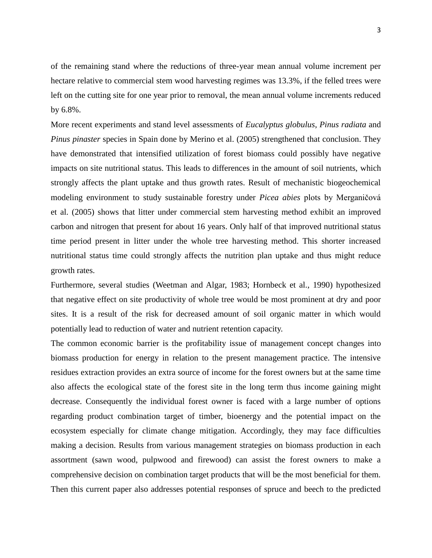of the remaining stand where the reductions of three-year mean annual volume increment per hectare relative to commercial stem wood harvesting regimes was 13.3%, if the felled trees were left on the cutting site for one year prior to removal, the mean annual volume increments reduced by 6.8%.

More recent experiments and stand level assessments of *Eucalyptus globulus*, *Pinus radiata* and *Pinus pinaster* species in Spain done by Merino et al. (2005) strengthened that conclusion. They have demonstrated that intensified utilization of forest biomass could possibly have negative impacts on site nutritional status. This leads to differences in the amount of soil nutrients, which strongly affects the plant uptake and thus growth rates. Result of mechanistic biogeochemical modeling environment to study sustainable forestry under *Picea abies* plots by Merganičová et al. (2005) shows that litter under commercial stem harvesting method exhibit an improved carbon and nitrogen that present for about 16 years. Only half of that improved nutritional status time period present in litter under the whole tree harvesting method. This shorter increased nutritional status time could strongly affects the nutrition plan uptake and thus might reduce growth rates.

Furthermore, several studies (Weetman and Algar, 1983; Hornbeck et al., 1990) hypothesized that negative effect on site productivity of whole tree would be most prominent at dry and poor sites. It is a result of the risk for decreased amount of soil organic matter in which would potentially lead to reduction of water and nutrient retention capacity.

The common economic barrier is the profitability issue of management concept changes into biomass production for energy in relation to the present management practice. The intensive residues extraction provides an extra source of income for the forest owners but at the same time also affects the ecological state of the forest site in the long term thus income gaining might decrease. Consequently the individual forest owner is faced with a large number of options regarding product combination target of timber, bioenergy and the potential impact on the ecosystem especially for climate change mitigation. Accordingly, they may face difficulties making a decision. Results from various management strategies on biomass production in each assortment (sawn wood, pulpwood and firewood) can assist the forest owners to make a comprehensive decision on combination target products that will be the most beneficial for them. Then this current paper also addresses potential responses of spruce and beech to the predicted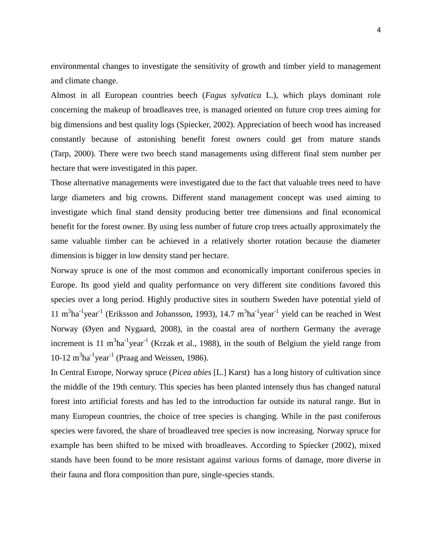environmental changes to investigate the sensitivity of growth and timber yield to management and climate change.

Almost in all European countries beech (*Fagus sylvatica* L.), which plays dominant role concerning the makeup of broadleaves tree, is managed oriented on future crop trees aiming for big dimensions and best quality logs (Spiecker, 2002). Appreciation of beech wood has increased constantly because of astonishing benefit forest owners could get from mature stands (Tarp, 2000). There were two beech stand managements using different final stem number per hectare that were investigated in this paper.

Those alternative managements were investigated due to the fact that valuable trees need to have large diameters and big crowns. Different stand management concept was used aiming to investigate which final stand density producing better tree dimensions and final economical benefit for the forest owner. By using less number of future crop trees actually approximately the same valuable timber can be achieved in a relatively shorter rotation because the diameter dimension is bigger in low density stand per hectare.

Norway spruce is one of the most common and economically important coniferous species in Europe. Its good yield and quality performance on very different site conditions favored this species over a long period. Highly productive sites in southern Sweden have potential yield of 11 m<sup>3</sup>ha<sup>-1</sup>year<sup>-1</sup> (Eriksson and Johansson, 1993), 14.7 m<sup>3</sup>ha<sup>-1</sup>year<sup>-1</sup> yield can be reached in West Norway (Øyen and Nygaard, 2008), in the coastal area of northern Germany the average increment is 11 m<sup>3</sup>ha<sup>-1</sup>year<sup>-1</sup> (Krzak et al., 1988), in the south of Belgium the yield range from  $10-12 \text{ m}^3\text{ha}^{-1}\text{year}^{-1}$  (Praag and Weissen, 1986).

In Central Europe, Norway spruce (*Picea abies* [L.] Karst) has a long history of cultivation since the middle of the 19th century. This species has been planted intensely thus has changed natural forest into artificial forests and has led to the introduction far outside its natural range. But in many European countries, the choice of tree species is changing. While in the past coniferous species were favored, the share of broadleaved tree species is now increasing. Norway spruce for example has been shifted to be mixed with broadleaves. According to Spiecker (2002), mixed stands have been found to be more resistant against various forms of damage, more diverse in their fauna and flora composition than pure, single-species stands.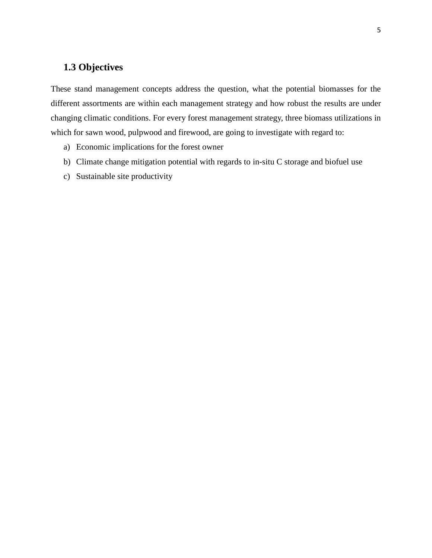## <span id="page-13-0"></span>**1.3 Objectives**

These stand management concepts address the question, what the potential biomasses for the different assortments are within each management strategy and how robust the results are under changing climatic conditions. For every forest management strategy, three biomass utilizations in which for sawn wood, pulpwood and firewood, are going to investigate with regard to:

- a) Economic implications for the forest owner
- b) Climate change mitigation potential with regards to in-situ C storage and biofuel use
- c) Sustainable site productivity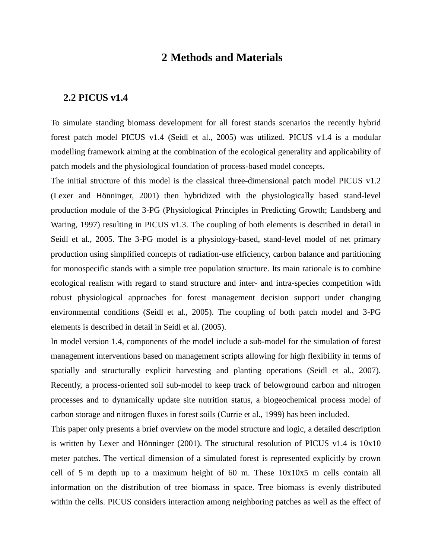## **2 Methods and Materials**

#### <span id="page-15-0"></span>**2.2 PICUS v1.4**

To simulate standing biomass development for all forest stands scenarios the recently hybrid forest patch model PICUS v1.4 (Seidl et al., 2005) was utilized. PICUS v1.4 is a modular modelling framework aiming at the combination of the ecological generality and applicability of patch models and the physiological foundation of process-based model concepts.

The initial structure of this model is the classical three-dimensional patch model PICUS v1.2 (Lexer and Hönninger, 2001) then hybridized with the physiologically based stand-level production module of the 3-PG (Physiological Principles in Predicting Growth; Landsberg and Waring, 1997) resulting in PICUS v1.3. The coupling of both elements is described in detail in Seidl et al., 2005. The 3-PG model is a physiology-based, stand-level model of net primary production using simplified concepts of radiation-use efficiency, carbon balance and partitioning for monospecific stands with a simple tree population structure. Its main rationale is to combine ecological realism with regard to stand structure and inter- and intra-species competition with robust physiological approaches for forest management decision support under changing environmental conditions (Seidl et al., 2005). The coupling of both patch model and 3-PG elements is described in detail in Seidl et al. (2005).

In model version 1.4, components of the model include a sub-model for the simulation of forest management interventions based on management scripts allowing for high flexibility in terms of spatially and structurally explicit harvesting and planting operations (Seidl et al., 2007). Recently, a process-oriented soil sub-model to keep track of belowground carbon and nitrogen processes and to dynamically update site nutrition status, a biogeochemical process model of carbon storage and nitrogen fluxes in forest soils (Currie et al., 1999) has been included.

This paper only presents a brief overview on the model structure and logic, a detailed description is written by Lexer and Hönninger (2001). The structural resolution of PICUS v1.4 is  $10x10$ meter patches. The vertical dimension of a simulated forest is represented explicitly by crown cell of 5 m depth up to a maximum height of 60 m. These 10x10x5 m cells contain all information on the distribution of tree biomass in space. Tree biomass is evenly distributed within the cells. PICUS considers interaction among neighboring patches as well as the effect of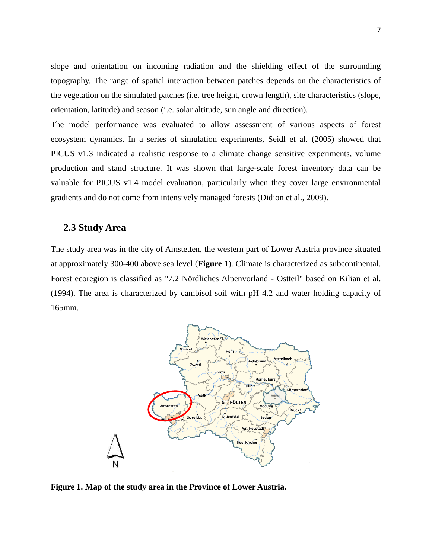slope and orientation on incoming radiation and the shielding effect of the surrounding topography. The range of spatial interaction between patches depends on the characteristics of the vegetation on the simulated patches (i.e. tree height, crown length), site characteristics (slope, orientation, latitude) and season (i.e. solar altitude, sun angle and direction).

The model performance was evaluated to allow assessment of various aspects of forest ecosystem dynamics. In a series of simulation experiments, Seidl et al. (2005) showed that PICUS v1.3 indicated a realistic response to a climate change sensitive experiments, volume production and stand structure. It was shown that large-scale forest inventory data can be valuable for PICUS v1.4 model evaluation, particularly when they cover large environmental gradients and do not come from intensively managed forests (Didion et al., 2009).

#### <span id="page-16-0"></span>**2.3 Study Area**

The study area was in the city of Amstetten, the western part of Lower Austria province situated at approximately 300-400 above sea level (**Figure 1**). Climate is characterized as subcontinental. Forest ecoregion is classified as "7.2 Nördliches Alpenvorland - Ostteil" based on Kilian et al. (1994). The area is characterized by cambisol soil with pH 4.2 and water holding capacity of 165mm.



<span id="page-16-1"></span>**Figure 1. Map of the study area in the Province of Lower Austria.**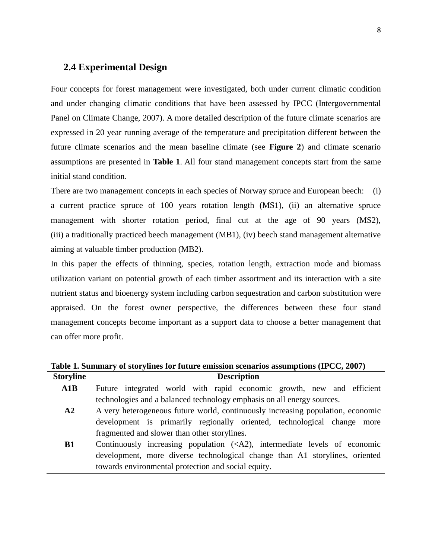#### <span id="page-17-0"></span>**2.4 Experimental Design**

Four concepts for forest management were investigated, both under current climatic condition and under changing climatic conditions that have been assessed by IPCC (Intergovernmental Panel on Climate Change, 2007). A more detailed description of the future climate scenarios are expressed in 20 year running average of the temperature and precipitation different between the future climate scenarios and the mean baseline climate (see **Figure 2**) and climate scenario assumptions are presented in **Table 1**. All four stand management concepts start from the same initial stand condition.

There are two management concepts in each species of Norway spruce and European beech: (i) a current practice spruce of 100 years rotation length (MS1), (ii) an alternative spruce management with shorter rotation period, final cut at the age of 90 years (MS2), (iii) a traditionally practiced beech management (MB1), (iv) beech stand management alternative aiming at valuable timber production (MB2).

In this paper the effects of thinning, species, rotation length, extraction mode and biomass utilization variant on potential growth of each timber assortment and its interaction with a site nutrient status and bioenergy system including carbon sequestration and carbon substitution were appraised. On the forest owner perspective, the differences between these four stand management concepts become important as a support data to choose a better management that can offer more profit.

<span id="page-17-1"></span>

|                  | Table 1. Summary of storylines for future emission scenarios assumptions (IPCC, 2007) |
|------------------|---------------------------------------------------------------------------------------|
| <b>Storyline</b> | <b>Description</b>                                                                    |

| A1B        | Future integrated world with rapid economic growth, new and efficient                       |
|------------|---------------------------------------------------------------------------------------------|
|            | technologies and a balanced technology emphasis on all energy sources.                      |
| ${\bf A2}$ | A very heterogeneous future world, continuously increasing population, economic             |
|            | development is primarily regionally oriented, technological change more                     |
|            | fragmented and slower than other storylines.                                                |
| <b>B1</b>  | Continuously increasing population $(\langle A2 \rangle)$ , intermediate levels of economic |
|            | development, more diverse technological change than A1 storylines, oriented                 |
|            | towards environmental protection and social equity.                                         |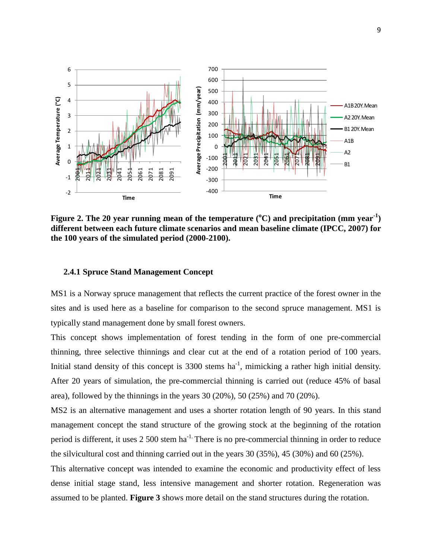

<span id="page-18-1"></span>**Figure 2. The 20 year running mean of the temperature (<sup>o</sup>C) and precipitation (mm year-1 ) different between each future climate scenarios and mean baseline climate (IPCC, 2007) for the 100 years of the simulated period (2000-2100).** 

#### <span id="page-18-0"></span>**2.4.1 Spruce Stand Management Concept**

MS1 is a Norway spruce management that reflects the current practice of the forest owner in the sites and is used here as a baseline for comparison to the second spruce management. MS1 is typically stand management done by small forest owners.

This concept shows implementation of forest tending in the form of one pre-commercial thinning, three selective thinnings and clear cut at the end of a rotation period of 100 years. Initial stand density of this concept is  $3300$  stems ha<sup>-1</sup>, mimicking a rather high initial density. After 20 years of simulation, the pre-commercial thinning is carried out (reduce 45% of basal area), followed by the thinnings in the years 30 (20%), 50 (25%) and 70 (20%).

MS2 is an alternative management and uses a shorter rotation length of 90 years. In this stand management concept the stand structure of the growing stock at the beginning of the rotation period is different, it uses  $2,500$  stem ha<sup>-1.</sup> There is no pre-commercial thinning in order to reduce the silvicultural cost and thinning carried out in the years 30 (35%), 45 (30%) and 60 (25%).

This alternative concept was intended to examine the economic and productivity effect of less dense initial stage stand, less intensive management and shorter rotation. Regeneration was assumed to be planted. **Figure 3** shows more detail on the stand structures during the rotation.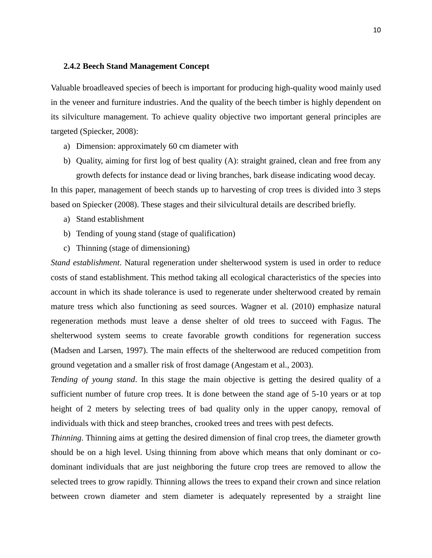#### <span id="page-19-0"></span>**2.4.2 Beech Stand Management Concept**

Valuable broadleaved species of beech is important for producing high-quality wood mainly used in the veneer and furniture industries. And the quality of the beech timber is highly dependent on its silviculture management. To achieve quality objective two important general principles are targeted (Spiecker, 2008):

- a) Dimension: approximately 60 cm diameter with
- b) Quality, aiming for first log of best quality (A): straight grained, clean and free from any growth defects for instance dead or living branches, bark disease indicating wood decay.

In this paper, management of beech stands up to harvesting of crop trees is divided into 3 steps based on Spiecker (2008). These stages and their silvicultural details are described briefly.

- a) Stand establishment
- b) Tending of young stand (stage of qualification)
- c) Thinning (stage of dimensioning)

*Stand establishment*. Natural regeneration under shelterwood system is used in order to reduce costs of stand establishment. This method taking all ecological characteristics of the species into account in which its shade tolerance is used to regenerate under shelterwood created by remain mature tress which also functioning as seed sources. Wagner et al. (2010) emphasize natural regeneration methods must leave a dense shelter of old trees to succeed with Fagus. The shelterwood system seems to create favorable growth conditions for regeneration success (Madsen and Larsen, 1997). The main effects of the shelterwood are reduced competition from ground vegetation and a smaller risk of frost damage (Angestam et al., 2003).

*Tending of young stand*. In this stage the main objective is getting the desired quality of a sufficient number of future crop trees. It is done between the stand age of 5-10 years or at top height of 2 meters by selecting trees of bad quality only in the upper canopy, removal of individuals with thick and steep branches, crooked trees and trees with pest defects.

*Thinning*. Thinning aims at getting the desired dimension of final crop trees, the diameter growth should be on a high level. Using thinning from above which means that only dominant or codominant individuals that are just neighboring the future crop trees are removed to allow the selected trees to grow rapidly. Thinning allows the trees to expand their crown and since relation between crown diameter and stem diameter is adequately represented by a straight line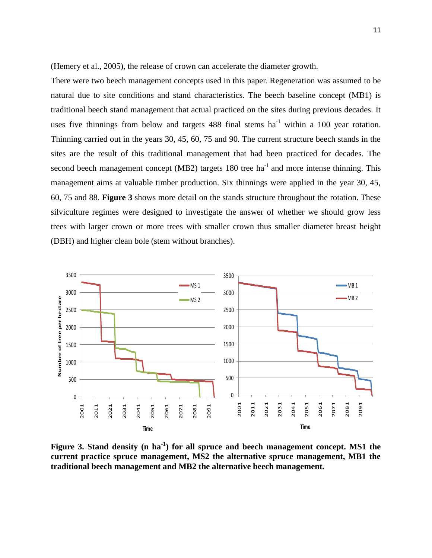(Hemery et al., 2005), the release of crown can accelerate the diameter growth.

There were two beech management concepts used in this paper. Regeneration was assumed to be natural due to site conditions and stand characteristics. The beech baseline concept (MB1) is traditional beech stand management that actual practiced on the sites during previous decades. It uses five thinnings from below and targets 488 final stems  $ha^{-1}$  within a 100 year rotation. Thinning carried out in the years 30, 45, 60, 75 and 90. The current structure beech stands in the sites are the result of this traditional management that had been practiced for decades. The second beech management concept (MB2) targets  $180$  tree ha<sup>-1</sup> and more intense thinning. This management aims at valuable timber production. Six thinnings were applied in the year 30, 45, 60, 75 and 88. **Figure 3** shows more detail on the stands structure throughout the rotation. These silviculture regimes were designed to investigate the answer of whether we should grow less trees with larger crown or more trees with smaller crown thus smaller diameter breast height (DBH) and higher clean bole (stem without branches).



Figure 3. Stand density (n ha<sup>-1</sup>) for all spruce and beech management concept. MS1 the **current practice spruce management, MS2 the alternative spruce management, MB1 the traditional beech management and MB2 the alternative beech management.**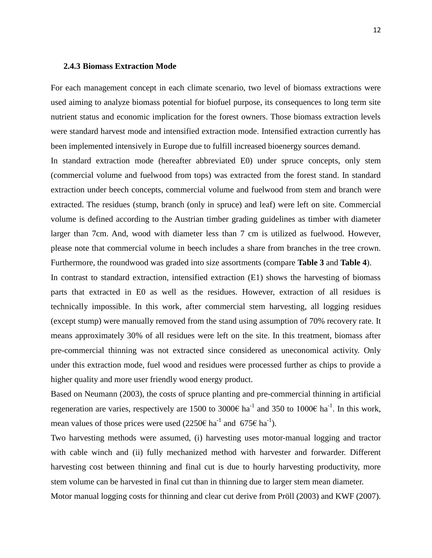#### <span id="page-21-0"></span>**2.4.3 Biomass Extraction Mode**

For each management concept in each climate scenario, two level of biomass extractions were used aiming to analyze biomass potential for biofuel purpose, its consequences to long term site nutrient status and economic implication for the forest owners. Those biomass extraction levels were standard harvest mode and intensified extraction mode. Intensified extraction currently has been implemented intensively in Europe due to fulfill increased bioenergy sources demand.

In standard extraction mode (hereafter abbreviated E0) under spruce concepts, only stem (commercial volume and fuelwood from tops) was extracted from the forest stand. In standard extraction under beech concepts, commercial volume and fuelwood from stem and branch were extracted. The residues (stump, branch (only in spruce) and leaf) were left on site. Commercial volume is defined according to the Austrian timber grading guidelines as timber with diameter larger than 7cm. And, wood with diameter less than 7 cm is utilized as fuelwood. However, please note that commercial volume in beech includes a share from branches in the tree crown. Furthermore, the roundwood was graded into size assortments (compare **Table 3** and **Table 4**).

In contrast to standard extraction, intensified extraction (E1) shows the harvesting of biomass parts that extracted in E0 as well as the residues. However, extraction of all residues is technically impossible. In this work, after commercial stem harvesting, all logging residues (except stump) were manually removed from the stand using assumption of 70% recovery rate. It means approximately 30% of all residues were left on the site. In this treatment, biomass after pre-commercial thinning was not extracted since considered as uneconomical activity. Only under this extraction mode, fuel wood and residues were processed further as chips to provide a higher quality and more user friendly wood energy product.

Based on Neumann (2003), the costs of spruce planting and pre-commercial thinning in artificial regeneration are varies, respectively are 1500 to 3000€ ha<sup>-1</sup> and 350 to 1000€ ha<sup>-1</sup>. In this work, mean values of those prices were used  $(2250\epsilon \text{ ha}^{-1}$  and  $675\epsilon \text{ ha}^{-1}$ ).

Two harvesting methods were assumed, (i) harvesting uses motor-manual logging and tractor with cable winch and (ii) fully mechanized method with harvester and forwarder. Different harvesting cost between thinning and final cut is due to hourly harvesting productivity, more stem volume can be harvested in final cut than in thinning due to larger stem mean diameter.

Motor manual logging costs for thinning and clear cut derive from Pröll (2003) and KWF (2007).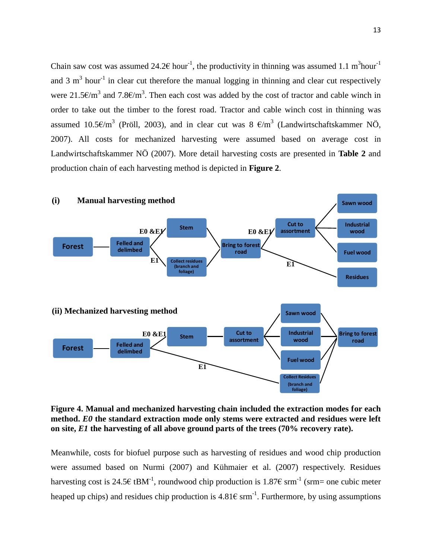Chain saw cost was assumed 24.2 $\epsilon$  hour<sup>-1</sup>, the productivity in thinning was assumed 1.1 m<sup>3</sup>hour<sup>-1</sup> and 3  $m<sup>3</sup>$  hour<sup>-1</sup> in clear cut therefore the manual logging in thinning and clear cut respectively were 21.5 $\epsilon/m^3$  and 7.8 $\epsilon/m^3$ . Then each cost was added by the cost of tractor and cable winch in order to take out the timber to the forest road. Tractor and cable winch cost in thinning was assumed 10.5€/m<sup>3</sup> (Pröll, 2003), and in clear cut was 8 €/m<sup>3</sup> (Landwirtschaftskammer NÖ, 2007). All costs for mechanized harvesting were assumed based on average cost in Landwirtschaftskammer NÖ (2007). More detail harvesting costs are presented in **Table 2** and production chain of each harvesting method is depicted in **Figure 2**.



<span id="page-22-0"></span>**Figure 4. Manual and mechanized harvesting chain included the extraction modes for each method.** *E0* **the standard extraction mode only stems were extracted and residues were left on site,** *E1* **the harvesting of all above ground parts of the trees (70% recovery rate).** 

Meanwhile, costs for biofuel purpose such as harvesting of residues and wood chip production were assumed based on Nurmi (2007) and Kühmaier et al. (2007) respectively. Residues harvesting cost is 24.5€ tBM<sup>-1</sup>, roundwood chip production is 1.87€ srm<sup>-1</sup> (srm= one cubic meter heaped up chips) and residues chip production is  $4.81 \epsilon \text{ s}^{-1}$ . Furthermore, by using assumptions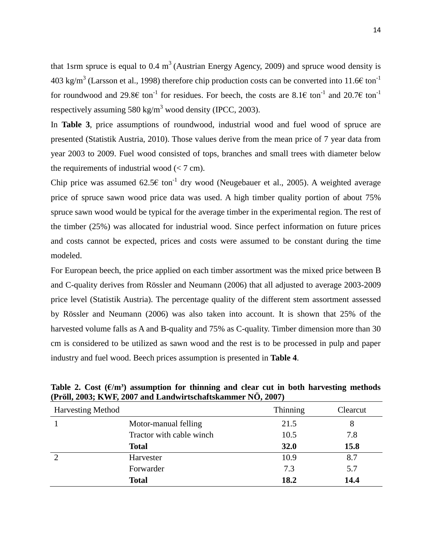that 1srm spruce is equal to 0.4  $m<sup>3</sup>$  (Austrian Energy Agency, 2009) and spruce wood density is 403 kg/m<sup>3</sup> (Larsson et al., 1998) therefore chip production costs can be converted into 11.6 $\epsilon$  ton<sup>-1</sup> for roundwood and 29.8 $\epsilon$  ton<sup>-1</sup> for residues. For beech, the costs are 8.1 $\epsilon$  ton<sup>-1</sup> and 20.7 $\epsilon$  ton<sup>-1</sup> respectively assuming 580 kg/m<sup>3</sup> wood density (IPCC, 2003).

In **Table 3**, price assumptions of roundwood, industrial wood and fuel wood of spruce are presented (Statistik Austria, 2010). Those values derive from the mean price of 7 year data from year 2003 to 2009. Fuel wood consisted of tops, branches and small trees with diameter below the requirements of industrial wood  $\left($  < 7 cm).

Chip price was assumed  $62.5\epsilon$  ton<sup>-1</sup> dry wood (Neugebauer et al., 2005). A weighted average price of spruce sawn wood price data was used. A high timber quality portion of about 75% spruce sawn wood would be typical for the average timber in the experimental region. The rest of the timber (25%) was allocated for industrial wood. Since perfect information on future prices and costs cannot be expected, prices and costs were assumed to be constant during the time modeled.

For European beech, the price applied on each timber assortment was the mixed price between B and C-quality derives from Rössler and Neumann (2006) that all adjusted to average 2003-2009 price level (Statistik Austria). The percentage quality of the different stem assortment assessed by Rössler and Neumann (2006) was also taken into account. It is shown that 25% of the harvested volume falls as A and B-quality and 75% as C-quality. Timber dimension more than 30 cm is considered to be utilized as sawn wood and the rest is to be processed in pulp and paper industry and fuel wood. Beech prices assumption is presented in **Table 4**.

| <b>Harvesting Method</b> |                          | Thinning | Clearcut |
|--------------------------|--------------------------|----------|----------|
|                          | Motor-manual felling     | 21.5     | 8        |
|                          | Tractor with cable winch | 10.5     | 7.8      |
|                          | <b>Total</b>             | 32.0     | 15.8     |
|                          | Harvester                | 10.9     | 8.7      |
|                          | Forwarder                | 7.3      | 5.7      |
|                          | <b>Total</b>             | 18.2     | 14.4     |

<span id="page-23-0"></span>Table 2. Cost  $(\epsilon/m^3)$  assumption for thinning and clear cut in both harvesting methods **(Pröll, 2003; KWF, 2007 and Landwirtschaftskammer NÖ, 2007)**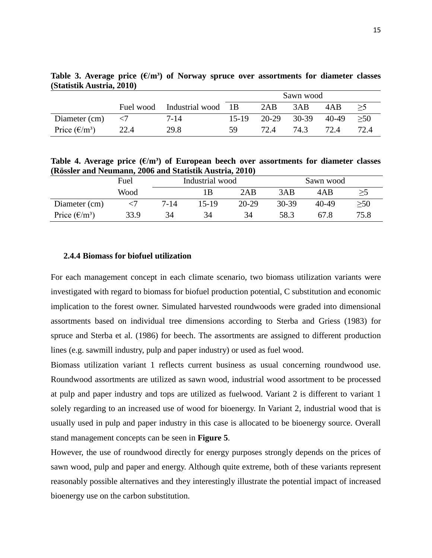|                        |           |                    | Sawn wood |       |         |       |      |
|------------------------|-----------|--------------------|-----------|-------|---------|-------|------|
|                        | Fuel wood | Industrial wood 1B |           | 2AB   | 3AB     | 4AB   | >5   |
| Diameter (cm)          |           | $7 - 14$           | $15-19$   | 20-29 | $30-39$ | 40-49 | >50  |
| Price $(\epsilon/m^3)$ | 22.4      | 29.8               | 59.       | 72.4  | 74.3    | 72.4  | 72.4 |

<span id="page-24-1"></span>Table 3. Average price  $(\mathcal{E}/m^3)$  of Norway spruce over assortments for diameter classes **(Statistik Austria, 2010)** 

<span id="page-24-2"></span>Table 4. Average price  $(\mathcal{E}/m^3)$  of European beech over assortments for diameter classes **(Rössler and Neumann, 2006 and Statistik Austria, 2010)**

|                        | Fuel | Industrial wood |       |           | Sawn wood |       |      |  |
|------------------------|------|-----------------|-------|-----------|-----------|-------|------|--|
|                        | Wood |                 |       | 2AB       | 3AB       | 4AB   |      |  |
| Diameter (cm)          |      | 7-14            | 15-19 | $20 - 29$ | 30-39     | 40-49 | >50  |  |
| Price $(\epsilon/m^3)$ | 33.9 | 34              | 34    | 34        | 58.3      | 67.8  | 75.8 |  |

#### <span id="page-24-0"></span>**2.4.4 Biomass for biofuel utilization**

For each management concept in each climate scenario, two biomass utilization variants were investigated with regard to biomass for biofuel production potential, C substitution and economic implication to the forest owner. Simulated harvested roundwoods were graded into dimensional assortments based on individual tree dimensions according to Sterba and Griess (1983) for spruce and Sterba et al. (1986) for beech. The assortments are assigned to different production lines (e.g. sawmill industry, pulp and paper industry) or used as fuel wood.

Biomass utilization variant 1 reflects current business as usual concerning roundwood use. Roundwood assortments are utilized as sawn wood, industrial wood assortment to be processed at pulp and paper industry and tops are utilized as fuelwood. Variant 2 is different to variant 1 solely regarding to an increased use of wood for bioenergy. In Variant 2, industrial wood that is usually used in pulp and paper industry in this case is allocated to be bioenergy source. Overall stand management concepts can be seen in **Figure 5**.

However, the use of roundwood directly for energy purposes strongly depends on the prices of sawn wood, pulp and paper and energy. Although quite extreme, both of these variants represent reasonably possible alternatives and they interestingly illustrate the potential impact of increased bioenergy use on the carbon substitution.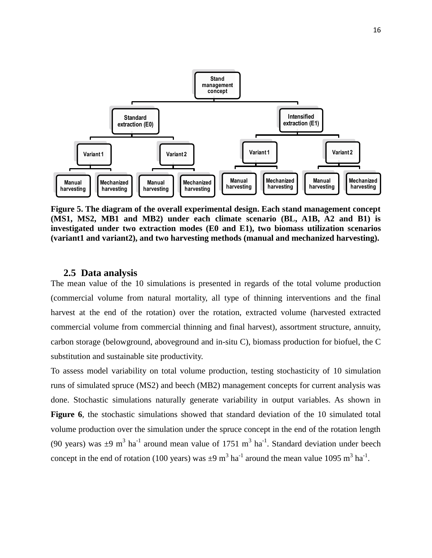

**Figure 5. The diagram of the overall experimental design. Each stand management concept (MS1, MS2, MB1 and MB2) under each climate scenario (BL, A1B, A2 and B1) is investigated under two extraction modes (E0 and E1), two biomass utilization scenarios (variant1 and variant2), and two harvesting methods (manual and mechanized harvesting).**

#### <span id="page-25-0"></span>**2.5 Data analysis**

The mean value of the 10 simulations is presented in regards of the total volume production (commercial volume from natural mortality, all type of thinning interventions and the final harvest at the end of the rotation) over the rotation, extracted volume (harvested extracted commercial volume from commercial thinning and final harvest), assortment structure, annuity, carbon storage (belowground, aboveground and in-situ C), biomass production for biofuel, the C substitution and sustainable site productivity.

To assess model variability on total volume production, testing stochasticity of 10 simulation runs of simulated spruce (MS2) and beech (MB2) management concepts for current analysis was done. Stochastic simulations naturally generate variability in output variables. As shown in **Figure 6**, the stochastic simulations showed that standard deviation of the 10 simulated total volume production over the simulation under the spruce concept in the end of the rotation length (90 years) was  $\pm$ 9 m<sup>3</sup> ha<sup>-1</sup> around mean value of 1751 m<sup>3</sup> ha<sup>-1</sup>. Standard deviation under beech concept in the end of rotation (100 years) was  $\pm 9$  m<sup>3</sup> ha<sup>-1</sup> around the mean value 1095 m<sup>3</sup> ha<sup>-1</sup>.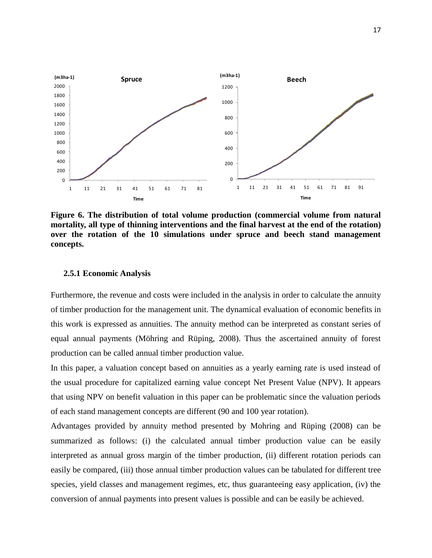

<span id="page-26-1"></span>**Figure 6. The distribution of total volume production (commercial volume from natural mortality, all type of thinning interventions and the final harvest at the end of the rotation) over the rotation of the 10 simulations under spruce and beech stand management concepts.** 

#### <span id="page-26-0"></span>**2.5.1 Economic Analysis**

Furthermore, the revenue and costs were included in the analysis in order to calculate the annuity of timber production for the management unit. The dynamical evaluation of economic benefits in this work is expressed as annuities. The annuity method can be interpreted as constant series of equal annual payments (Möhring and Rüping, 2008). Thus the ascertained annuity of forest production can be called annual timber production value.

In this paper, a valuation concept based on annuities as a yearly earning rate is used instead of the usual procedure for capitalized earning value concept Net Present Value (NPV). It appears that using NPV on benefit valuation in this paper can be problematic since the valuation periods of each stand management concepts are different (90 and 100 year rotation).

Advantages provided by annuity method presented by Mohring and Rüping (2008) can be summarized as follows: (i) the calculated annual timber production value can be easily interpreted as annual gross margin of the timber production, (ii) different rotation periods can easily be compared, (iii) those annual timber production values can be tabulated for different tree species, yield classes and management regimes, etc, thus guaranteeing easy application, (iv) the conversion of annual payments into present values is possible and can be easily be achieved.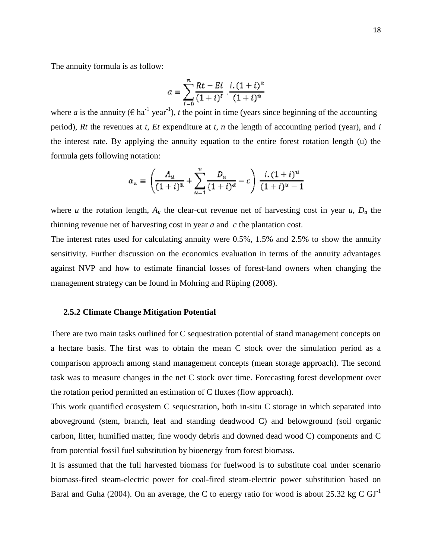The annuity formula is as follow:

$$
a = \sum_{i=0}^{n} \frac{Rt - Ei}{(1+i)^{i}} \cdot \frac{i \cdot (1+i)^{i}}{(1+i)^{n}}
$$

where *a* is the annuity ( $\epsilon$  ha<sup>-1</sup> year<sup>-1</sup>), *t* the point in time (years since beginning of the accounting period), *Rt* the revenues at *t*, *Et* expenditure at *t*, *n* the length of accounting period (year), and *i* the interest rate. By applying the annuity equation to the entire forest rotation length (u) the formula gets following notation:

$$
a_{\mathfrak{u}} = \left(\frac{A_{\mathfrak{u}}}{(1+i)^{\mathfrak{u}}} + \sum_{a=1}^{\mathfrak{u}} \frac{D_a}{(1+i)^{\alpha}} - c\right) \cdot \frac{i \cdot (1+i)^{\mathfrak{u}}}{(1+i)^{\mathfrak{u}} - 1}
$$

where *u* the rotation length,  $A_u$  the clear-cut revenue net of harvesting cost in year *u*,  $D_a$  the thinning revenue net of harvesting cost in year *a* and *c* the plantation cost.

The interest rates used for calculating annuity were 0.5%, 1.5% and 2.5% to show the annuity sensitivity. Further discussion on the economics evaluation in terms of the annuity advantages against NVP and how to estimate financial losses of forest-land owners when changing the management strategy can be found in Mohring and Rüping (2008).

#### <span id="page-27-0"></span>**2.5.2 Climate Change Mitigation Potential**

There are two main tasks outlined for C sequestration potential of stand management concepts on a hectare basis. The first was to obtain the mean C stock over the simulation period as a comparison approach among stand management concepts (mean storage approach). The second task was to measure changes in the net C stock over time. Forecasting forest development over the rotation period permitted an estimation of C fluxes (flow approach).

This work quantified ecosystem C sequestration, both in-situ C storage in which separated into aboveground (stem, branch, leaf and standing deadwood C) and belowground (soil organic carbon, litter, humified matter, fine woody debris and downed dead wood C) components and C from potential fossil fuel substitution by bioenergy from forest biomass.

It is assumed that the full harvested biomass for fuelwood is to substitute coal under scenario biomass-fired steam-electric power for coal-fired steam-electric power substitution based on Baral and Guha (2004). On an average, the C to energy ratio for wood is about 25.32 kg C  $GI<sup>-1</sup>$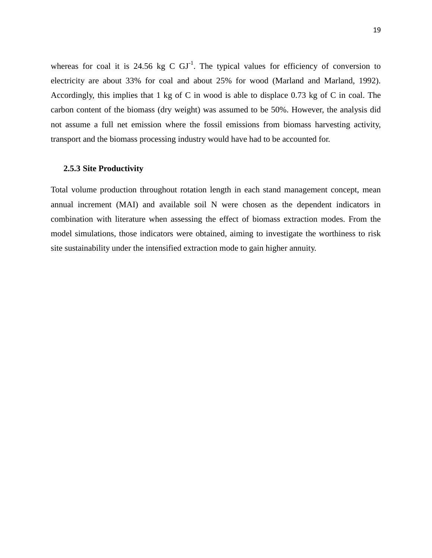whereas for coal it is 24.56 kg C  $GI^{-1}$ . The typical values for efficiency of conversion to electricity are about 33% for coal and about 25% for wood (Marland and Marland, 1992). Accordingly, this implies that 1 kg of C in wood is able to displace 0.73 kg of C in coal. The carbon content of the biomass (dry weight) was assumed to be 50%. However, the analysis did not assume a full net emission where the fossil emissions from biomass harvesting activity, transport and the biomass processing industry would have had to be accounted for.

#### <span id="page-28-0"></span>**2.5.3 Site Productivity**

Total volume production throughout rotation length in each stand management concept, mean annual increment (MAI) and available soil N were chosen as the dependent indicators in combination with literature when assessing the effect of biomass extraction modes. From the model simulations, those indicators were obtained, aiming to investigate the worthiness to risk site sustainability under the intensified extraction mode to gain higher annuity.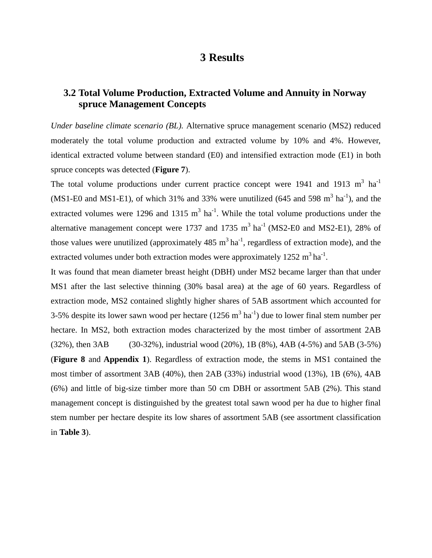## **3 Results**

## <span id="page-29-0"></span>**3.2 Total Volume Production, Extracted Volume and Annuity in Norway spruce Management Concepts**

*Under baseline climate scenario (BL).* Alternative spruce management scenario (MS2) reduced moderately the total volume production and extracted volume by 10% and 4%. However, identical extracted volume between standard (E0) and intensified extraction mode (E1) in both spruce concepts was detected (**Figure 7**).

The total volume productions under current practice concept were 1941 and 1913  $m^3$  ha<sup>-1</sup> (MS1-E0 and MS1-E1), of which 31% and 33% were unutilized (645 and 598  $m^3$  ha<sup>-1</sup>), and the extracted volumes were 1296 and 1315  $m^3$  ha<sup>-1</sup>. While the total volume productions under the alternative management concept were 1737 and 1735  $m^3$  ha<sup>-1</sup> (MS2-E0 and MS2-E1), 28% of those values were unutilized (approximately 485  $m^3$  ha<sup>-1</sup>, regardless of extraction mode), and the extracted volumes under both extraction modes were approximately  $1252 \text{ m}^3 \text{ha}^{-1}$ .

It was found that mean diameter breast height (DBH) under MS2 became larger than that under MS1 after the last selective thinning (30% basal area) at the age of 60 years. Regardless of extraction mode, MS2 contained slightly higher shares of 5AB assortment which accounted for 3-5% despite its lower sawn wood per hectare  $(1256 \text{ m}^3 \text{ ha}^{-1})$  due to lower final stem number per hectare. In MS2, both extraction modes characterized by the most timber of assortment 2AB (32%), then 3AB (30-32%), industrial wood (20%), 1B (8%), 4AB (4-5%) and 5AB (3-5%) (**Figure 8** and **Appendix 1**). Regardless of extraction mode, the stems in MS1 contained the most timber of assortment 3AB (40%), then 2AB (33%) industrial wood (13%), 1B (6%), 4AB (6%) and little of big-size timber more than 50 cm DBH or assortment 5AB (2%). This stand management concept is distinguished by the greatest total sawn wood per ha due to higher final stem number per hectare despite its low shares of assortment 5AB (see assortment classification in **Table 3**).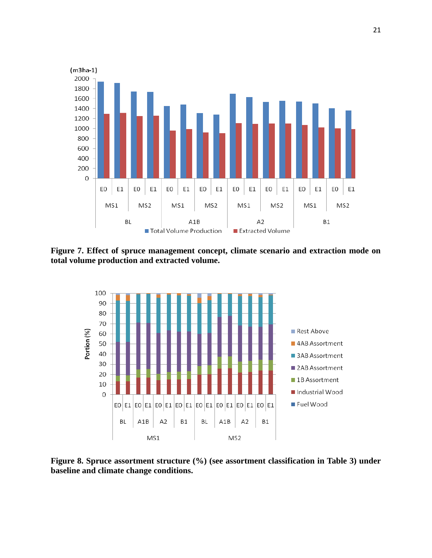

<span id="page-30-0"></span>**Figure 7. Effect of spruce management concept, climate scenario and extraction mode on total volume production and extracted volume.** 



<span id="page-30-1"></span>**Figure 8. Spruce assortment structure (%) (see assortment classification in Table 3) under baseline and climate change conditions.**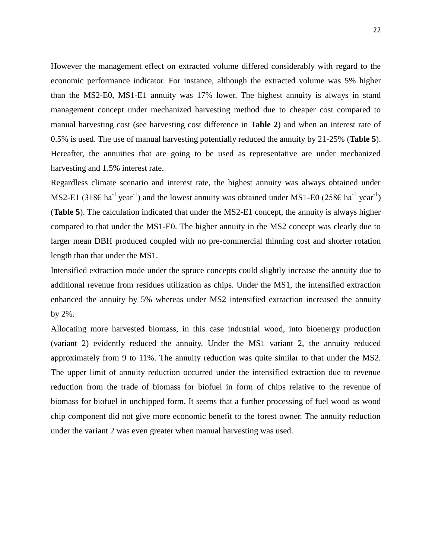However the management effect on extracted volume differed considerably with regard to the economic performance indicator. For instance, although the extracted volume was 5% higher than the MS2-E0, MS1-E1 annuity was 17% lower. The highest annuity is always in stand management concept under mechanized harvesting method due to cheaper cost compared to manual harvesting cost (see harvesting cost difference in **Table 2**) and when an interest rate of 0.5% is used. The use of manual harvesting potentially reduced the annuity by 21-25% (**Table 5**). Hereafter, the annuities that are going to be used as representative are under mechanized harvesting and 1.5% interest rate.

Regardless climate scenario and interest rate, the highest annuity was always obtained under MS2-E1 (318 $\epsilon$  ha<sup>-1</sup> year<sup>-1</sup>) and the lowest annuity was obtained under MS1-E0 (258 $\epsilon$  ha<sup>-1</sup> year<sup>-1</sup>) (**Table 5**). The calculation indicated that under the MS2-E1 concept, the annuity is always higher compared to that under the MS1-E0. The higher annuity in the MS2 concept was clearly due to larger mean DBH produced coupled with no pre-commercial thinning cost and shorter rotation length than that under the MS1.

Intensified extraction mode under the spruce concepts could slightly increase the annuity due to additional revenue from residues utilization as chips. Under the MS1, the intensified extraction enhanced the annuity by 5% whereas under MS2 intensified extraction increased the annuity by 2%.

Allocating more harvested biomass, in this case industrial wood, into bioenergy production (variant 2) evidently reduced the annuity. Under the MS1 variant 2, the annuity reduced approximately from 9 to 11%. The annuity reduction was quite similar to that under the MS2. The upper limit of annuity reduction occurred under the intensified extraction due to revenue reduction from the trade of biomass for biofuel in form of chips relative to the revenue of biomass for biofuel in unchipped form. It seems that a further processing of fuel wood as wood chip component did not give more economic benefit to the forest owner. The annuity reduction under the variant 2 was even greater when manual harvesting was used.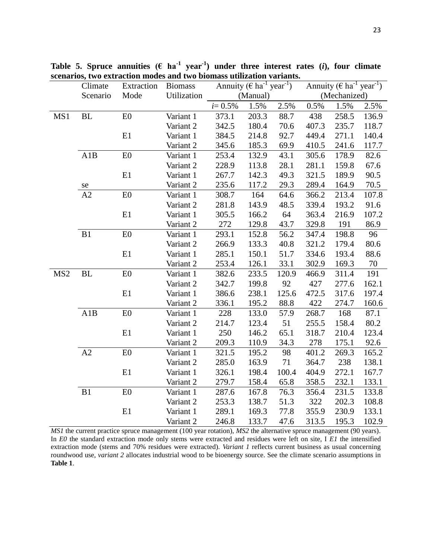|                 | Climate  | Extraction     | <b>Biomass</b> | Annuity ( $\epsilon$ ha <sup>-1</sup> year <sup>-1</sup> ) |          |       | Annuity ( $\in$ ha <sup>-1</sup> year <sup>-1</sup> ) |              |       |
|-----------------|----------|----------------|----------------|------------------------------------------------------------|----------|-------|-------------------------------------------------------|--------------|-------|
|                 | Scenario | Mode           | Utilization    |                                                            | (Manual) |       |                                                       | (Mechanized) |       |
|                 |          |                |                | $i = 0.5\%$                                                | 1.5%     | 2.5%  | 0.5%                                                  | 1.5%         | 2.5%  |
| MS1             | BL       | E0             | Variant 1      | 373.1                                                      | 203.3    | 88.7  | 438                                                   | 258.5        | 136.9 |
|                 |          |                | Variant 2      | 342.5                                                      | 180.4    | 70.6  | 407.3                                                 | 235.7        | 118.7 |
|                 |          | E1             | Variant 1      | 384.5                                                      | 214.8    | 92.7  | 449.4                                                 | 271.1        | 140.4 |
|                 |          |                | Variant 2      | 345.6                                                      | 185.3    | 69.9  | 410.5                                                 | 241.6        | 117.7 |
|                 | A1B      | E0             | Variant 1      | 253.4                                                      | 132.9    | 43.1  | 305.6                                                 | 178.9        | 82.6  |
|                 |          |                | Variant 2      | 228.9                                                      | 113.8    | 28.1  | 281.1                                                 | 159.8        | 67.6  |
|                 |          | E1             | Variant 1      | 267.7                                                      | 142.3    | 49.3  | 321.5                                                 | 189.9        | 90.5  |
|                 | se       |                | Variant 2      | 235.6                                                      | 117.2    | 29.3  | 289.4                                                 | 164.9        | 70.5  |
|                 | A2       | E0             | Variant 1      | 308.7                                                      | 164      | 64.6  | 366.2                                                 | 213.4        | 107.8 |
|                 |          |                | Variant 2      | 281.8                                                      | 143.9    | 48.5  | 339.4                                                 | 193.2        | 91.6  |
|                 |          | E1             | Variant 1      | 305.5                                                      | 166.2    | 64    | 363.4                                                 | 216.9        | 107.2 |
|                 |          |                | Variant 2      | 272                                                        | 129.8    | 43.7  | 329.8                                                 | 191          | 86.9  |
|                 | B1       | E0             | Variant 1      | 293.1                                                      | 152.8    | 56.2  | 347.4                                                 | 198.8        | 96    |
|                 |          |                | Variant 2      | 266.9                                                      | 133.3    | 40.8  | 321.2                                                 | 179.4        | 80.6  |
|                 |          | E1             | Variant 1      | 285.1                                                      | 150.1    | 51.7  | 334.6                                                 | 193.4        | 88.6  |
|                 |          |                | Variant 2      | 253.4                                                      | 126.1    | 33.1  | 302.9                                                 | 169.3        | 70    |
| MS <sub>2</sub> | BL       | E0             | Variant 1      | 382.6                                                      | 233.5    | 120.9 | 466.9                                                 | 311.4        | 191   |
|                 |          |                | Variant 2      | 342.7                                                      | 199.8    | 92    | 427                                                   | 277.6        | 162.1 |
|                 |          | E1             | Variant 1      | 386.6                                                      | 238.1    | 125.6 | 472.5                                                 | 317.6        | 197.4 |
|                 |          |                | Variant 2      | 336.1                                                      | 195.2    | 88.8  | 422                                                   | 274.7        | 160.6 |
|                 | A1B      | E <sub>0</sub> | Variant 1      | 228                                                        | 133.0    | 57.9  | 268.7                                                 | 168          | 87.1  |
|                 |          |                | Variant 2      | 214.7                                                      | 123.4    | 51    | 255.5                                                 | 158.4        | 80.2  |
|                 |          | E1             | Variant 1      | 250                                                        | 146.2    | 65.1  | 318.7                                                 | 210.4        | 123.4 |
|                 |          |                | Variant 2      | 209.3                                                      | 110.9    | 34.3  | 278                                                   | 175.1        | 92.6  |
|                 | A2       | E0             | Variant 1      | 321.5                                                      | 195.2    | 98    | 401.2                                                 | 269.3        | 165.2 |
|                 |          |                | Variant 2      | 285.0                                                      | 163.9    | 71    | 364.7                                                 | 238          | 138.1 |
|                 |          | E1             | Variant 1      | 326.1                                                      | 198.4    | 100.4 | 404.9                                                 | 272.1        | 167.7 |
|                 |          |                | Variant 2      | 279.7                                                      | 158.4    | 65.8  | 358.5                                                 | 232.1        | 133.1 |
|                 | B1       | E0             | Variant 1      | 287.6                                                      | 167.8    | 76.3  | 356.4                                                 | 231.5        | 133.8 |
|                 |          |                | Variant 2      | 253.3                                                      | 138.7    | 51.3  | 322                                                   | 202.3        | 108.8 |
|                 |          | E1             | Variant 1      | 289.1                                                      | 169.3    | 77.8  | 355.9                                                 | 230.9        | 133.1 |
|                 |          |                | Variant 2      | 246.8                                                      | 133.7    | 47.6  | 313.5                                                 | 195.3        | 102.9 |

<span id="page-32-0"></span>Table 5. Spruce annuities  $(\epsilon \text{ ha}^{-1} \text{ year}^{-1})$  under three interest rates (*i*), four climate **scenarios, two extraction modes and two biomass utilization variants.** 

*MS1* the current practice spruce management (100 year rotation), *MS2* the alternative spruce management (90 years). In *E0* the standard extraction mode only stems were extracted and residues were left on site, I *E1* the intensified extraction mode (stems and 70% residues were extracted). *Variant 1* reflects current business as usual concerning roundwood use, *variant 2* allocates industrial wood to be bioenergy source. See the climate scenario assumptions in **Table 1**.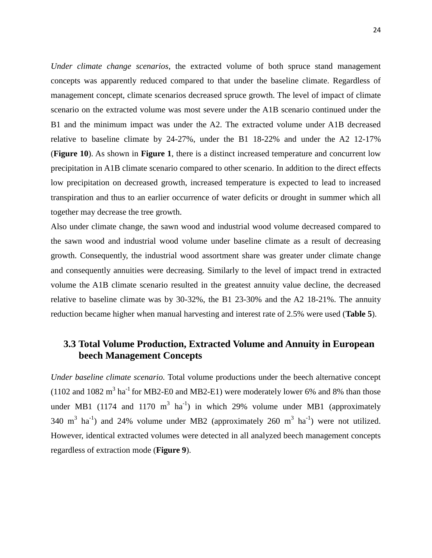*Under climate change scenarios*, the extracted volume of both spruce stand management concepts was apparently reduced compared to that under the baseline climate. Regardless of management concept, climate scenarios decreased spruce growth. The level of impact of climate scenario on the extracted volume was most severe under the A1B scenario continued under the B1 and the minimum impact was under the A2. The extracted volume under A1B decreased relative to baseline climate by 24-27%, under the B1 18-22% and under the A2 12-17% (**Figure 10**). As shown in **Figure 1**, there is a distinct increased temperature and concurrent low precipitation in A1B climate scenario compared to other scenario. In addition to the direct effects low precipitation on decreased growth, increased temperature is expected to lead to increased transpiration and thus to an earlier occurrence of water deficits or drought in summer which all together may decrease the tree growth.

Also under climate change, the sawn wood and industrial wood volume decreased compared to the sawn wood and industrial wood volume under baseline climate as a result of decreasing growth. Consequently, the industrial wood assortment share was greater under climate change and consequently annuities were decreasing. Similarly to the level of impact trend in extracted volume the A1B climate scenario resulted in the greatest annuity value decline, the decreased relative to baseline climate was by 30-32%, the B1 23-30% and the A2 18-21%. The annuity reduction became higher when manual harvesting and interest rate of 2.5% were used (**Table 5**).

### <span id="page-33-0"></span>**3.3 Total Volume Production, Extracted Volume and Annuity in European beech Management Concepts**

*Under baseline climate scenario.* Total volume productions under the beech alternative concept (1102 and 1082  $m^3$  ha<sup>-1</sup> for MB2-E0 and MB2-E1) were moderately lower 6% and 8% than those under MB1 (1174 and 1170 m<sup>3</sup> ha<sup>-1</sup>) in which 29% volume under MB1 (approximately 340 m<sup>3</sup> ha<sup>-1</sup>) and 24% volume under MB2 (approximately 260 m<sup>3</sup> ha<sup>-1</sup>) were not utilized. However, identical extracted volumes were detected in all analyzed beech management concepts regardless of extraction mode (**Figure 9**).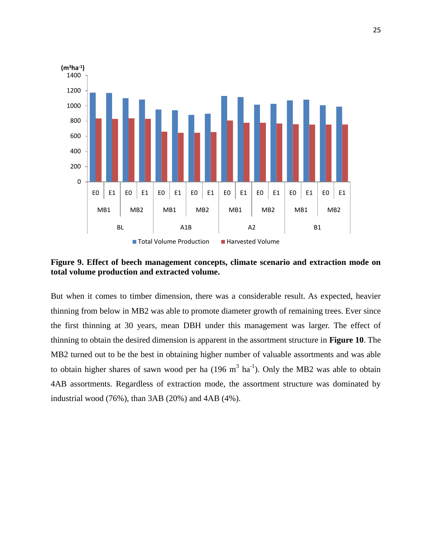

<span id="page-34-0"></span>**Figure 9. Effect of beech management concepts, climate scenario and extraction mode on total volume production and extracted volume.** 

But when it comes to timber dimension, there was a considerable result. As expected, heavier thinning from below in MB2 was able to promote diameter growth of remaining trees. Ever since the first thinning at 30 years, mean DBH under this management was larger. The effect of thinning to obtain the desired dimension is apparent in the assortment structure in **Figure 10**. The MB2 turned out to be the best in obtaining higher number of valuable assortments and was able to obtain higher shares of sawn wood per ha  $(196 \text{ m}^3 \text{ ha}^{-1})$ . Only the MB2 was able to obtain 4AB assortments. Regardless of extraction mode, the assortment structure was dominated by industrial wood (76%), than 3AB (20%) and 4AB (4%).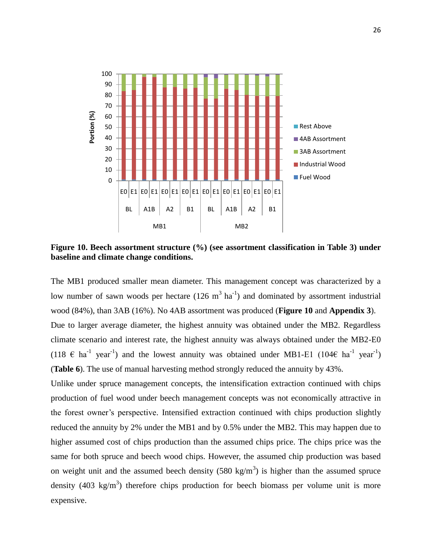

<span id="page-35-0"></span>**Figure 10. Beech assortment structure (%) (see assortment classification in Table 3) under baseline and climate change conditions.** 

The MB1 produced smaller mean diameter. This management concept was characterized by a low number of sawn woods per hectare  $(126 \text{ m}^3 \text{ ha}^{-1})$  and dominated by assortment industrial wood (84%), than 3AB (16%). No 4AB assortment was produced (**Figure 10** and **Appendix 3**). Due to larger average diameter, the highest annuity was obtained under the MB2. Regardless climate scenario and interest rate, the highest annuity was always obtained under the MB2-E0 (118  $\in$  ha<sup>-1</sup> year<sup>-1</sup>) and the lowest annuity was obtained under MB1-E1 (104 $\in$  ha<sup>-1</sup> year<sup>-1</sup>) (**Table 6**). The use of manual harvesting method strongly reduced the annuity by 43%.

Unlike under spruce management concepts, the intensification extraction continued with chips production of fuel wood under beech management concepts was not economically attractive in the forest owner's perspective. Intensified extraction continued with chips production slightly reduced the annuity by 2% under the MB1 and by 0.5% under the MB2. This may happen due to higher assumed cost of chips production than the assumed chips price. The chips price was the same for both spruce and beech wood chips. However, the assumed chip production was based on weight unit and the assumed beech density (580 kg/m<sup>3</sup>) is higher than the assumed spruce density (403 kg/m<sup>3</sup>) therefore chips production for beech biomass per volume unit is more expensive.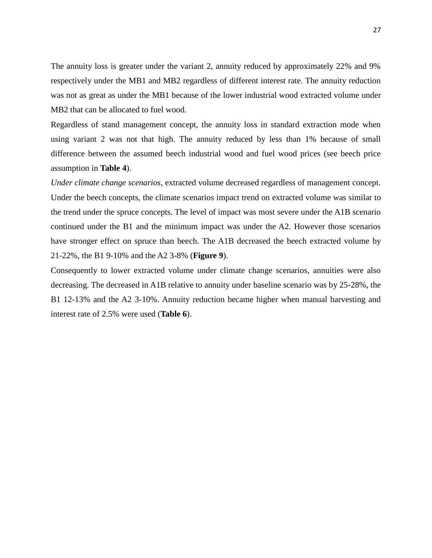The annuity loss is greater under the variant 2, annuity reduced by approximately 22% and 9% respectively under the MB1 and MB2 regardless of different interest rate. The annuity reduction was not as great as under the MB1 because of the lower industrial wood extracted volume under MB2 that can be allocated to fuel wood.

Regardless of stand management concept, the annuity loss in standard extraction mode when using variant 2 was not that high. The annuity reduced by less than 1% because of small difference between the assumed beech industrial wood and fuel wood prices (see beech price assumption in **Table 4**).

*Under climate change scenarios*, extracted volume decreased regardless of management concept. Under the beech concepts, the climate scenarios impact trend on extracted volume was similar to the trend under the spruce concepts. The level of impact was most severe under the A1B scenario continued under the B1 and the minimum impact was under the A2. However those scenarios have stronger effect on spruce than beech. The A1B decreased the beech extracted volume by 21-22%, the B1 9-10% and the A2 3-8% (**Figure 9**).

Consequently to lower extracted volume under climate change scenarios, annuities were also decreasing. The decreased in A1B relative to annuity under baseline scenario was by 25-28%, the B1 12-13% and the A2 3-10%. Annuity reduction became higher when manual harvesting and interest rate of 2.5% were used (**Table 6**).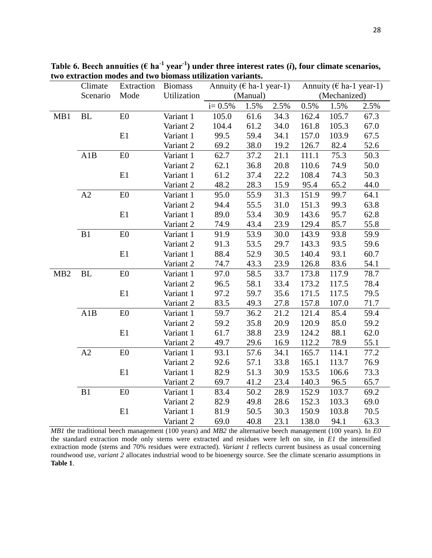|                 | Climate   | Extraction     | <b>Biomass</b> | Annuity ( $\epsilon$ ha-1 year-1) |          | Annuity ( $\epsilon$ ha-1 year-1) |       |              |      |
|-----------------|-----------|----------------|----------------|-----------------------------------|----------|-----------------------------------|-------|--------------|------|
|                 | Scenario  | Mode           | Utilization    |                                   | (Manual) |                                   |       | (Mechanized) |      |
|                 |           |                |                | $i = 0.5%$                        | 1.5%     | 2.5%                              | 0.5%  | 1.5%         | 2.5% |
| MB1             | BL        | E <sub>0</sub> | Variant 1      | 105.0                             | 61.6     | 34.3                              | 162.4 | 105.7        | 67.3 |
|                 |           |                | Variant 2      | 104.4                             | 61.2     | 34.0                              | 161.8 | 105.3        | 67.0 |
|                 |           | E1             | Variant 1      | 99.5                              | 59.4     | 34.1                              | 157.0 | 103.9        | 67.5 |
|                 |           |                | Variant 2      | 69.2                              | 38.0     | 19.2                              | 126.7 | 82.4         | 52.6 |
|                 | A1B       | ${\rm E0}$     | Variant 1      | 62.7                              | 37.2     | 21.1                              | 111.1 | 75.3         | 50.3 |
|                 |           |                | Variant 2      | 62.1                              | 36.8     | 20.8                              | 110.6 | 74.9         | 50.0 |
|                 |           | E1             | Variant 1      | 61.2                              | 37.4     | 22.2                              | 108.4 | 74.3         | 50.3 |
|                 |           |                | Variant 2      | 48.2                              | 28.3     | 15.9                              | 95.4  | 65.2         | 44.0 |
|                 | A2        | E0             | Variant 1      | 95.0                              | 55.9     | 31.3                              | 151.9 | 99.7         | 64.1 |
|                 |           |                | Variant 2      | 94.4                              | 55.5     | 31.0                              | 151.3 | 99.3         | 63.8 |
|                 |           | E1             | Variant 1      | 89.0                              | 53.4     | 30.9                              | 143.6 | 95.7         | 62.8 |
|                 |           |                | Variant 2      | 74.9                              | 43.4     | 23.9                              | 129.4 | 85.7         | 55.8 |
|                 | B1        | E0             | Variant 1      | 91.9                              | 53.9     | 30.0                              | 143.9 | 93.8         | 59.9 |
|                 |           |                | Variant 2      | 91.3                              | 53.5     | 29.7                              | 143.3 | 93.5         | 59.6 |
|                 |           | E1             | Variant 1      | 88.4                              | 52.9     | 30.5                              | 140.4 | 93.1         | 60.7 |
|                 |           |                | Variant 2      | 74.7                              | 43.3     | 23.9                              | 126.8 | 83.6         | 54.1 |
| MB <sub>2</sub> | <b>BL</b> | E0             | Variant 1      | 97.0                              | 58.5     | 33.7                              | 173.8 | 117.9        | 78.7 |
|                 |           |                | Variant 2      | 96.5                              | 58.1     | 33.4                              | 173.2 | 117.5        | 78.4 |
|                 |           | E1             | Variant 1      | 97.2                              | 59.7     | 35.6                              | 171.5 | 117.5        | 79.5 |
|                 |           |                | Variant 2      | 83.5                              | 49.3     | 27.8                              | 157.8 | 107.0        | 71.7 |
|                 | A1B       | E0             | Variant 1      | 59.7                              | 36.2     | 21.2                              | 121.4 | 85.4         | 59.4 |
|                 |           |                | Variant 2      | 59.2                              | 35.8     | 20.9                              | 120.9 | 85.0         | 59.2 |
|                 |           | E1             | Variant 1      | 61.7                              | 38.8     | 23.9                              | 124.2 | 88.1         | 62.0 |
|                 |           |                | Variant 2      | 49.7                              | 29.6     | 16.9                              | 112.2 | 78.9         | 55.1 |
|                 | A2        | E0             | Variant 1      | 93.1                              | 57.6     | 34.1                              | 165.7 | 114.1        | 77.2 |
|                 |           |                | Variant 2      | 92.6                              | 57.1     | 33.8                              | 165.1 | 113.7        | 76.9 |
|                 |           | E1             | Variant 1      | 82.9                              | 51.3     | 30.9                              | 153.5 | 106.6        | 73.3 |
|                 |           |                | Variant 2      | 69.7                              | 41.2     | 23.4                              | 140.3 | 96.5         | 65.7 |
|                 | B1        | E0             | Variant 1      | 83.4                              | 50.2     | 28.9                              | 152.9 | 103.7        | 69.2 |
|                 |           |                | Variant 2      | 82.9                              | 49.8     | 28.6                              | 152.3 | 103.3        | 69.0 |
|                 |           | E1             | Variant 1      | 81.9                              | 50.5     | 30.3                              | 150.9 | 103.8        | 70.5 |
|                 |           |                | Variant 2      | 69.0                              | 40.8     | 23.1                              | 138.0 | 94.1         | 63.3 |

<span id="page-37-0"></span>Table 6. Beech annuities ( $\epsilon$  ha<sup>-1</sup> year<sup>-1</sup>) under three interest rates (*i*), four climate scenarios, **two extraction modes and two biomass utilization variants.** 

*MB1* the traditional beech management (100 years) and *MB2* the alternative beech management (100 years). In *E0* the standard extraction mode only stems were extracted and residues were left on site, in *E1* the intensified extraction mode (stems and 70% residues were extracted). *Variant 1* reflects current business as usual concerning roundwood use, *variant 2* allocates industrial wood to be bioenergy source. See the climate scenario assumptions in **Table 1**.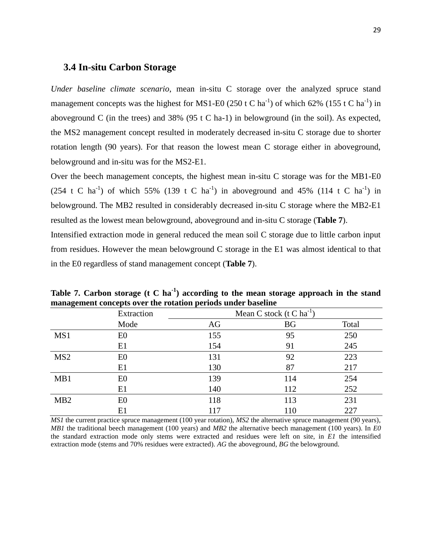#### <span id="page-38-0"></span>**3.4 In-situ Carbon Storage**

*Under baseline climate scenario*, mean in-situ C storage over the analyzed spruce stand management concepts was the highest for MS1-E0 (250 t C ha<sup>-1</sup>) of which 62% (155 t C ha<sup>-1</sup>) in aboveground C (in the trees) and 38% (95 t C ha-1) in belowground (in the soil). As expected, the MS2 management concept resulted in moderately decreased in-situ C storage due to shorter rotation length (90 years). For that reason the lowest mean C storage either in aboveground, belowground and in-situ was for the MS2-E1.

Over the beech management concepts, the highest mean in-situ C storage was for the MB1-E0  $(254 \text{ t C ha}^{-1})$  of which 55% (139 t C ha<sup>-1</sup>) in aboveground and 45% (114 t C ha<sup>-1</sup>) in belowground. The MB2 resulted in considerably decreased in-situ C storage where the MB2-E1 resulted as the lowest mean belowground, aboveground and in-situ C storage (**Table 7**). Intensified extraction mode in general reduced the mean soil C storage due to little carbon input from residues. However the mean belowground C storage in the E1 was almost identical to that

in the E0 regardless of stand management concept (**Table 7**).

|                  | Extraction     | Mean C stock ( $t C$ ha <sup>-1</sup> ) |           |       |  |  |  |
|------------------|----------------|-----------------------------------------|-----------|-------|--|--|--|
|                  | Mode           | AG                                      | <b>BG</b> | Total |  |  |  |
| MS1              | E <sub>0</sub> | 155                                     | 95        | 250   |  |  |  |
|                  | E1             | 154                                     | 91        | 245   |  |  |  |
| MS <sub>2</sub>  | E <sub>0</sub> | 131                                     | 92        | 223   |  |  |  |
|                  | E1             | 130                                     | 87        | 217   |  |  |  |
| MB1              | E <sub>0</sub> | 139                                     | 114       | 254   |  |  |  |
|                  | E1             | 140                                     | 112       | 252   |  |  |  |
| M <sub>B</sub> 2 | E <sub>0</sub> | 118                                     | 113       | 231   |  |  |  |
|                  | E1             | 117                                     | 110       | 227   |  |  |  |

<span id="page-38-1"></span>Table 7. Carbon storage (t C ha<sup>-1</sup>) according to the mean storage approach in the stand **management concepts over the rotation periods under baseline** 

*MS1* the current practice spruce management (100 year rotation), *MS2* the alternative spruce management (90 years), *MB1* the traditional beech management (100 years) and *MB2* the alternative beech management (100 years). In *E0* the standard extraction mode only stems were extracted and residues were left on site, in *E1* the intensified extraction mode (stems and 70% residues were extracted). *AG* the aboveground, *BG* the belowground.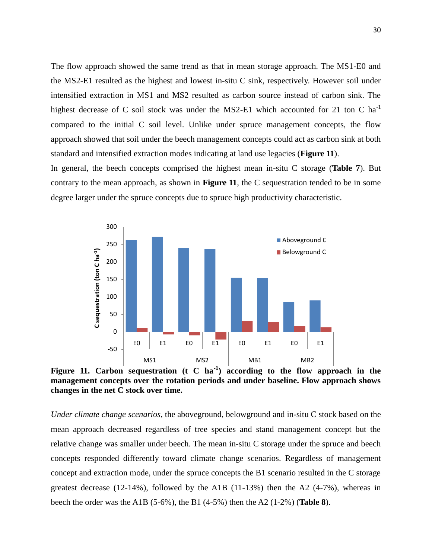The flow approach showed the same trend as that in mean storage approach. The MS1-E0 and the MS2-E1 resulted as the highest and lowest in-situ C sink, respectively. However soil under intensified extraction in MS1 and MS2 resulted as carbon source instead of carbon sink. The highest decrease of C soil stock was under the MS2-E1 which accounted for 21 ton C ha<sup>-1</sup> compared to the initial C soil level. Unlike under spruce management concepts, the flow approach showed that soil under the beech management concepts could act as carbon sink at both standard and intensified extraction modes indicating at land use legacies (**Figure 11**).

In general, the beech concepts comprised the highest mean in-situ C storage (**Table 7**). But contrary to the mean approach, as shown in **Figure 11**, the C sequestration tended to be in some degree larger under the spruce concepts due to spruce high productivity characteristic.



<span id="page-39-0"></span>**Figure 11. Carbon sequestration (t C ha-1 ) according to the flow approach in the management concepts over the rotation periods and under baseline. Flow approach shows changes in the net C stock over time.**

*Under climate change scenarios*, the aboveground, belowground and in-situ C stock based on the mean approach decreased regardless of tree species and stand management concept but the relative change was smaller under beech. The mean in-situ C storage under the spruce and beech concepts responded differently toward climate change scenarios. Regardless of management concept and extraction mode, under the spruce concepts the B1 scenario resulted in the C storage greatest decrease (12-14%), followed by the A1B (11-13%) then the A2 (4-7%), whereas in beech the order was the A1B (5-6%), the B1 (4-5%) then the A2 (1-2%) (**Table 8**).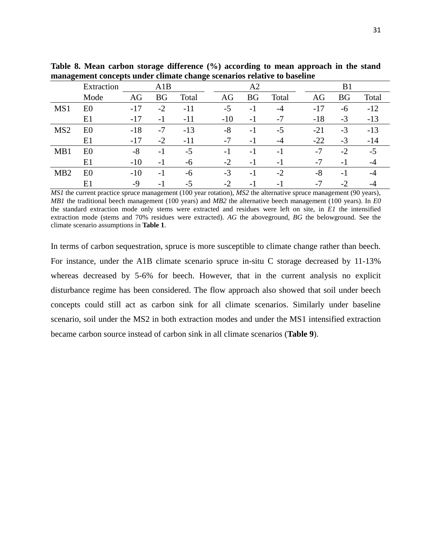|                  | Extraction     | A1B   |           |       | A2    |           |       | B1    |           |       |  |
|------------------|----------------|-------|-----------|-------|-------|-----------|-------|-------|-----------|-------|--|
|                  | Mode           | AG    | <b>BG</b> | Total | AG    | <b>BG</b> | Total | AG    | <b>BG</b> | Total |  |
| MS1              | E <sub>0</sub> | $-17$ | $-2$      | $-11$ | $-5$  | $-1$      | $-4$  | $-17$ | -6        | $-12$ |  |
|                  | E1             | $-17$ | $-1$      | $-11$ | $-10$ | $-1$      | -7    | $-18$ | $-3$      | $-13$ |  |
| MS <sub>2</sub>  | E <sub>0</sub> | $-18$ | $-7$      | $-13$ | $-8$  | $-1$      | $-5$  | $-21$ | $-3$      | $-13$ |  |
|                  | E1             | $-17$ | $-2$      | $-11$ | $-7$  | $-1$      | $-4$  | $-22$ | $-3$      | $-14$ |  |
| MB1              | E <sub>0</sub> | $-8$  | $-1$      | $-5$  | - 1   | $-1$      | $-1$  | $-7$  | $-2$      | $-5$  |  |
|                  | E1             | $-10$ | $-1$      | -6    | $-2$  | $-1$      | $-1$  | $-7$  | $-1$      | -4    |  |
| M <sub>B</sub> 2 | E <sub>0</sub> | $-10$ | -1        | -6    | $-3$  | $-1$      | $-2$  | -8    | $-1$      | -4    |  |
|                  | E1             | -9    | $-1$      | $-5$  | $-2$  | $-1$      | $-1$  | $-7$  | $-2$      | -4    |  |

<span id="page-40-0"></span>**Table 8. Mean carbon storage difference (%) according to mean approach in the stand management concepts under climate change scenarios relative to baseline** 

*MS1* the current practice spruce management (100 year rotation), *MS2* the alternative spruce management (90 years), *MB1* the traditional beech management (100 years) and *MB2* the alternative beech management (100 years). In *E0* the standard extraction mode only stems were extracted and residues were left on site, in *E1* the intensified extraction mode (stems and 70% residues were extracted). *AG* the aboveground, *BG* the belowground. See the climate scenario assumptions in **Table 1**.

In terms of carbon sequestration, spruce is more susceptible to climate change rather than beech. For instance, under the A1B climate scenario spruce in-situ C storage decreased by 11-13% whereas decreased by 5-6% for beech. However, that in the current analysis no explicit disturbance regime has been considered. The flow approach also showed that soil under beech concepts could still act as carbon sink for all climate scenarios. Similarly under baseline scenario, soil under the MS2 in both extraction modes and under the MS1 intensified extraction became carbon source instead of carbon sink in all climate scenarios (**Table 9**).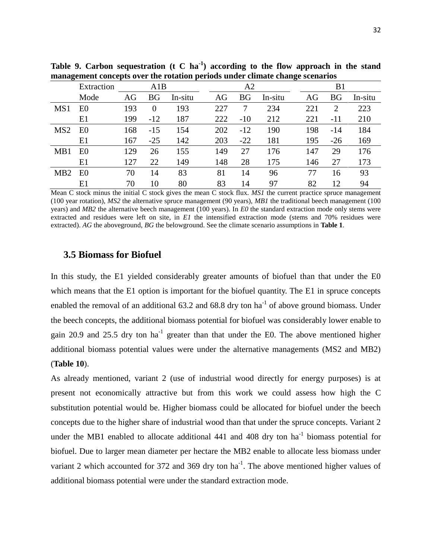|                 | Extraction     |     | A1B       |         |     | A2        |         |     | B1        |         |
|-----------------|----------------|-----|-----------|---------|-----|-----------|---------|-----|-----------|---------|
|                 | Mode           | AG  | <b>BG</b> | In-situ | AG  | <b>BG</b> | In-situ | AG  | <b>BG</b> | In-situ |
| MS1             | E <sub>0</sub> | 193 | $\theta$  | 193     | 227 |           | 234     | 221 | 2         | 223     |
|                 | E1             | 199 | $-12$     | 187     | 222 | $-10$     | 212     | 221 | $-11$     | 210     |
| MS <sub>2</sub> | E <sub>0</sub> | 168 | $-15$     | 154     | 202 | $-12$     | 190     | 198 | $-14$     | 184     |
|                 | E1             | 167 | $-25$     | 142     | 203 | $-22$     | 181     | 195 | $-26$     | 169     |
| MB1             | E <sub>0</sub> | 129 | 26        | 155     | 149 | 27        | 176     | 147 | 29        | 176     |
|                 | E1             | 127 | 22        | 149     | 148 | 28        | 175     | 146 | 27        | 173     |
| MB2             | E <sub>0</sub> | 70  | 14        | 83      | 81  | 14        | 96      | 77  | 16        | 93      |
|                 | E1             | 70  | 10        | 80      | 83  | 14        | 97      | 82  | 12        | 94      |

<span id="page-41-1"></span>**Table 9. Carbon sequestration (t C ha-1 ) according to the flow approach in the stand management concepts over the rotation periods under climate change scenarios** 

Mean C stock minus the initial C stock gives the mean C stock flux. *MS1* the current practice spruce management (100 year rotation), *MS2* the alternative spruce management (90 years), *MB1* the traditional beech management (100 years) and *MB2* the alternative beech management (100 years). In *E0* the standard extraction mode only stems were extracted and residues were left on site, in *E1* the intensified extraction mode (stems and 70% residues were extracted). *AG* the aboveground, *BG* the belowground. See the climate scenario assumptions in **Table 1**.

#### <span id="page-41-0"></span>**3.5 Biomass for Biofuel**

In this study, the E1 yielded considerably greater amounts of biofuel than that under the E0 which means that the E1 option is important for the biofuel quantity. The E1 in spruce concepts enabled the removal of an additional 63.2 and 68.8 dry ton ha<sup>-1</sup> of above ground biomass. Under the beech concepts, the additional biomass potential for biofuel was considerably lower enable to gain 20.9 and 25.5 dry ton  $ha^{-1}$  greater than that under the E0. The above mentioned higher additional biomass potential values were under the alternative managements (MS2 and MB2) (**Table 10**).

As already mentioned, variant 2 (use of industrial wood directly for energy purposes) is at present not economically attractive but from this work we could assess how high the C substitution potential would be. Higher biomass could be allocated for biofuel under the beech concepts due to the higher share of industrial wood than that under the spruce concepts. Variant 2 under the MB1 enabled to allocate additional  $441$  and  $408$  dry ton ha<sup>-1</sup> biomass potential for biofuel. Due to larger mean diameter per hectare the MB2 enable to allocate less biomass under variant 2 which accounted for 372 and 369 dry ton  $ha^{-1}$ . The above mentioned higher values of additional biomass potential were under the standard extraction mode.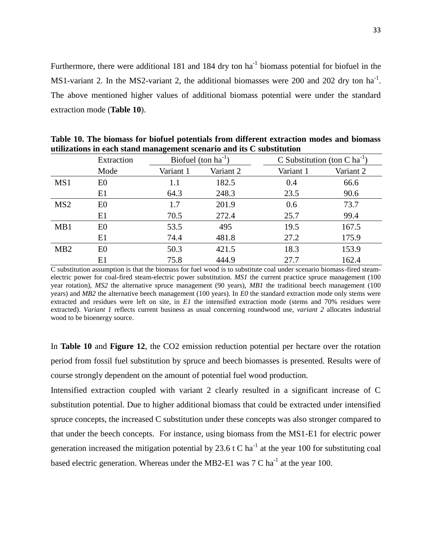Furthermore, there were additional 181 and 184 dry ton  $ha^{-1}$  biomass potential for biofuel in the MS1-variant 2. In the MS2-variant 2, the additional biomasses were 200 and 202 dry ton  $ha^{-1}$ . The above mentioned higher values of additional biomass potential were under the standard extraction mode (**Table 10**).

|                 | Extraction     |           | Biofuel (ton $ha^{-1}$ ) |           | C Substitution (ton C ha <sup>-1</sup> ) |
|-----------------|----------------|-----------|--------------------------|-----------|------------------------------------------|
|                 | Mode           | Variant 1 | Variant 2                | Variant 1 | Variant 2                                |
| MS1             | E <sub>0</sub> | 1.1       | 182.5                    | 0.4       | 66.6                                     |
|                 | E1             | 64.3      | 248.3                    | 23.5      | 90.6                                     |
| MS <sub>2</sub> | E <sub>0</sub> | 1.7       | 201.9                    | 0.6       | 73.7                                     |
|                 | E1             | 70.5      | 272.4                    | 25.7      | 99.4                                     |
| MB1             | E <sub>0</sub> | 53.5      | 495                      | 19.5      | 167.5                                    |
|                 | E1             | 74.4      | 481.8                    | 27.2      | 175.9                                    |
| MB <sub>2</sub> | E <sub>0</sub> | 50.3      | 421.5                    | 18.3      | 153.9                                    |
|                 | E1             | 75.8      | 444.9                    | 27.7      | 162.4                                    |

<span id="page-42-0"></span>**Table 10. The biomass for biofuel potentials from different extraction modes and biomass utilizations in each stand management scenario and its C substitution**

C substitution assumption is that the biomass for fuel wood is to substitute coal under scenario biomass-fired steamelectric power for coal-fired steam-electric power substitution. *MS1* the current practice spruce management (100 year rotation), *MS2* the alternative spruce management (90 years), *MB1* the traditional beech management (100 years) and *MB2* the alternative beech management (100 years). In *E0* the standard extraction mode only stems were extracted and residues were left on site, in *E1* the intensified extraction mode (stems and 70% residues were extracted). *Variant 1* reflects current business as usual concerning roundwood use, *variant 2* allocates industrial wood to be bioenergy source.

In **Table 10** and **Figure 12**, the CO2 emission reduction potential per hectare over the rotation period from fossil fuel substitution by spruce and beech biomasses is presented. Results were of course strongly dependent on the amount of potential fuel wood production.

Intensified extraction coupled with variant 2 clearly resulted in a significant increase of C substitution potential. Due to higher additional biomass that could be extracted under intensified spruce concepts, the increased C substitution under these concepts was also stronger compared to that under the beech concepts. For instance, using biomass from the MS1-E1 for electric power generation increased the mitigation potential by 23.6 t C ha<sup>-1</sup> at the year 100 for substituting coal based electric generation. Whereas under the MB2-E1 was 7 C ha<sup>-1</sup> at the year 100.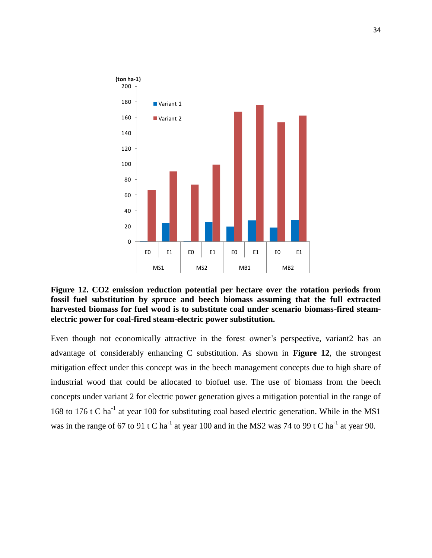

<span id="page-43-0"></span>**Figure 12. CO2 emission reduction potential per hectare over the rotation periods from fossil fuel substitution by spruce and beech biomass assuming that the full extracted harvested biomass for fuel wood is to substitute coal under scenario biomass-fired steamelectric power for coal-fired steam-electric power substitution.** 

Even though not economically attractive in the forest owner's perspective, variant2 has an advantage of considerably enhancing C substitution. As shown in **Figure 12**, the strongest mitigation effect under this concept was in the beech management concepts due to high share of industrial wood that could be allocated to biofuel use. The use of biomass from the beech concepts under variant 2 for electric power generation gives a mitigation potential in the range of 168 to 176 t C ha<sup>-1</sup> at year 100 for substituting coal based electric generation. While in the MS1 was in the range of 67 to 91 t C ha<sup>-1</sup> at year 100 and in the MS2 was 74 to 99 t C ha<sup>-1</sup> at year 90.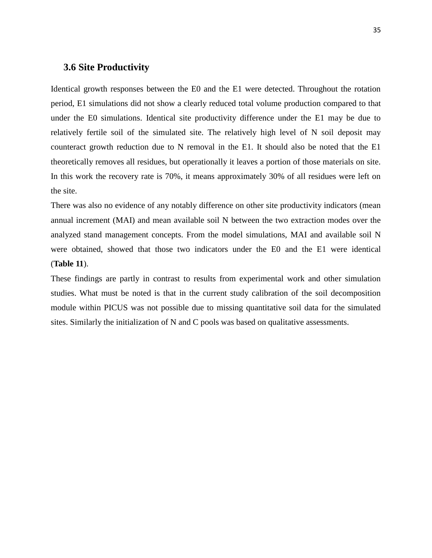#### <span id="page-44-0"></span>**3.6 Site Productivity**

Identical growth responses between the E0 and the E1 were detected. Throughout the rotation period, E1 simulations did not show a clearly reduced total volume production compared to that under the E0 simulations. Identical site productivity difference under the E1 may be due to relatively fertile soil of the simulated site. The relatively high level of N soil deposit may counteract growth reduction due to N removal in the E1. It should also be noted that the E1 theoretically removes all residues, but operationally it leaves a portion of those materials on site. In this work the recovery rate is 70%, it means approximately 30% of all residues were left on the site.

There was also no evidence of any notably difference on other site productivity indicators (mean annual increment (MAI) and mean available soil N between the two extraction modes over the analyzed stand management concepts. From the model simulations, MAI and available soil N were obtained, showed that those two indicators under the E0 and the E1 were identical (**Table 11**).

These findings are partly in contrast to results from experimental work and other simulation studies. What must be noted is that in the current study calibration of the soil decomposition module within PICUS was not possible due to missing quantitative soil data for the simulated sites. Similarly the initialization of N and C pools was based on qualitative assessments.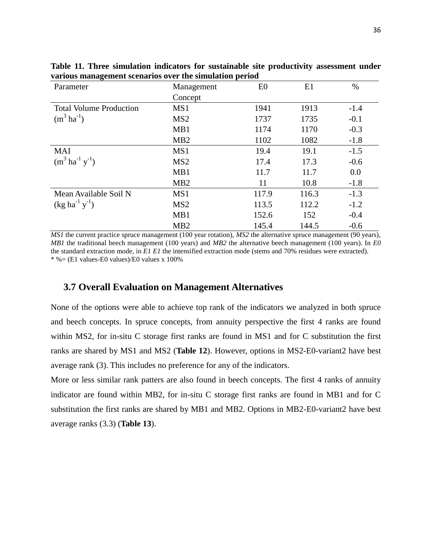| Parameter                              | Management      | E <sub>0</sub> | E1    | $\%$   |
|----------------------------------------|-----------------|----------------|-------|--------|
|                                        | Concept         |                |       |        |
| <b>Total Volume Production</b>         | MS1             | 1941           | 1913  | $-1.4$ |
| $(m^3 \text{ ha}^{-1})$                | MS <sub>2</sub> | 1737           | 1735  | $-0.1$ |
|                                        | MB1             | 1174           | 1170  | $-0.3$ |
|                                        | MB <sub>2</sub> | 1102           | 1082  | $-1.8$ |
| <b>MAI</b>                             | MS1             | 19.4           | 19.1  | $-1.5$ |
| $(m^3 \text{ ha}^{-1} \text{ y}^{-1})$ | MS <sub>2</sub> | 17.4           | 17.3  | $-0.6$ |
|                                        | MB1             | 11.7           | 11.7  | 0.0    |
|                                        | MB <sub>2</sub> | 11             | 10.8  | $-1.8$ |
| Mean Available Soil N                  | MS1             | 117.9          | 116.3 | $-1.3$ |
| $(kg ha^{-1} y^{-1})$                  | MS <sub>2</sub> | 113.5          | 112.2 | $-1.2$ |
|                                        | MB1             | 152.6          | 152   | $-0.4$ |
|                                        | MB <sub>2</sub> | 145.4          | 144.5 | $-0.6$ |

<span id="page-45-1"></span>**Table 11. Three simulation indicators for sustainable site productivity assessment under various management scenarios over the simulation period**

*MS1* the current practice spruce management (100 year rotation), *MS2* the alternative spruce management (90 years), *MB1* the traditional beech management (100 years) and *MB2* the alternative beech management (100 years). In *E0* the standard extraction mode, in *E1 E1* the intensified extraction mode (stems and 70% residues were extracted).  $*$  % = (E1 values-E0 values)/E0 values x 100%

#### <span id="page-45-0"></span>**3.7 Overall Evaluation on Management Alternatives**

<span id="page-45-2"></span>None of the options were able to achieve top rank of the indicators we analyzed in both spruce and beech concepts. In spruce concepts, from annuity perspective the first 4 ranks are found within MS2, for in-situ C storage first ranks are found in MS1 and for C substitution the first ranks are shared by MS1 and MS2 (**Table 12**). However, options in MS2-E0-variant2 have best average rank (3). This includes no preference for any of the indicators.

More or less similar rank patters are also found in beech concepts. The first 4 ranks of annuity indicator are found within MB2, for in-situ C storage first ranks are found in MB1 and for C substitution the first ranks are shared by MB1 and MB2. Options in MB2-E0-variant2 have best average ranks (3.3) (**Table 13**).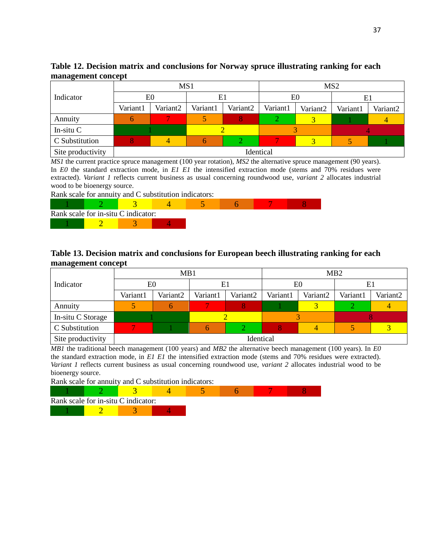| Table 12. Decision matrix and conclusions for Norway spruce illustrating ranking for each |  |  |  |  |  |
|-------------------------------------------------------------------------------------------|--|--|--|--|--|
| management concept                                                                        |  |  |  |  |  |

|                   |          | MS1       |          |          | MS <sub>2</sub> |                      |          |          |  |
|-------------------|----------|-----------|----------|----------|-----------------|----------------------|----------|----------|--|
| Indicator         | E0       |           | E1       |          |                 | E0                   | E1       |          |  |
|                   | Variant1 | Variant2  | Variant1 | Variant2 | Variant1        | Variant <sub>2</sub> | Variant1 | Variant2 |  |
| Annuity           |          |           |          |          |                 |                      |          |          |  |
| In-situ $C$       |          |           |          |          |                 |                      |          |          |  |
| C Substitution    |          |           |          |          |                 |                      |          |          |  |
| Site productivity |          | Identical |          |          |                 |                      |          |          |  |

*MS1* the current practice spruce management (100 year rotation), *MS2* the alternative spruce management (90 years). In *E0* the standard extraction mode, in *E1 E1* the intensified extraction mode (stems and 70% residues were extracted). *Variant 1* reflects current business as usual concerning roundwood use, *variant 2* allocates industrial wood to be bioenergy source.

Rank scale for annuity and C substitution indicators:



#### <span id="page-46-0"></span>**Table 13. Decision matrix and conclusions for European beech illustrating ranking for each management concept**

|                   |                | MB1                  |          |                      | MB2      |                      |          |          |  |
|-------------------|----------------|----------------------|----------|----------------------|----------|----------------------|----------|----------|--|
| Indicator         | E <sub>0</sub> |                      | E1       |                      |          | E <sub>0</sub>       | E1       |          |  |
|                   | Variant1       | Variant <sub>2</sub> | Variant1 | Variant <sub>2</sub> | Variant1 | Variant <sub>2</sub> | Variant1 | Variant2 |  |
| Annuity           |                |                      |          |                      |          |                      |          |          |  |
| In-situ C Storage |                |                      |          |                      |          |                      |          |          |  |
| C Substitution    |                |                      | h        |                      |          |                      |          |          |  |
| Site productivity | Identical      |                      |          |                      |          |                      |          |          |  |

*MB1* the traditional beech management (100 years) and *MB2* the alternative beech management (100 years). In *E0* the standard extraction mode, in *E1 E1* the intensified extraction mode (stems and 70% residues were extracted). *Variant 1* reflects current business as usual concerning roundwood use, *variant 2* allocates industrial wood to be bioenergy source.

Rank scale for annuity and C substitution indicators:

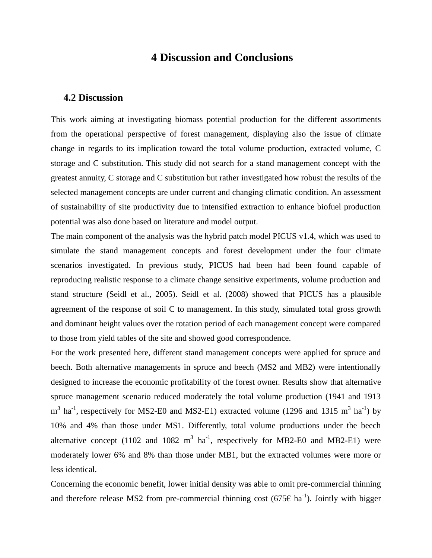## **4 Discussion and Conclusions**

#### <span id="page-47-0"></span>**4.2 Discussion**

This work aiming at investigating biomass potential production for the different assortments from the operational perspective of forest management, displaying also the issue of climate change in regards to its implication toward the total volume production, extracted volume, C storage and C substitution. This study did not search for a stand management concept with the greatest annuity, C storage and C substitution but rather investigated how robust the results of the selected management concepts are under current and changing climatic condition. An assessment of sustainability of site productivity due to intensified extraction to enhance biofuel production potential was also done based on literature and model output.

The main component of the analysis was the hybrid patch model PICUS v1.4, which was used to simulate the stand management concepts and forest development under the four climate scenarios investigated. In previous study, PICUS had been had been found capable of reproducing realistic response to a climate change sensitive experiments, volume production and stand structure (Seidl et al., 2005). Seidl et al. (2008) showed that PICUS has a plausible agreement of the response of soil C to management. In this study, simulated total gross growth and dominant height values over the rotation period of each management concept were compared to those from yield tables of the site and showed good correspondence.

For the work presented here, different stand management concepts were applied for spruce and beech. Both alternative managements in spruce and beech (MS2 and MB2) were intentionally designed to increase the economic profitability of the forest owner. Results show that alternative spruce management scenario reduced moderately the total volume production (1941 and 1913  $m^3$  ha<sup>-1</sup>, respectively for MS2-E0 and MS2-E1) extracted volume (1296 and 1315  $m^3$  ha<sup>-1</sup>) by 10% and 4% than those under MS1. Differently, total volume productions under the beech alternative concept (1102 and 1082  $m^3$  ha<sup>-1</sup>, respectively for MB2-E0 and MB2-E1) were moderately lower 6% and 8% than those under MB1, but the extracted volumes were more or less identical.

Concerning the economic benefit, lower initial density was able to omit pre-commercial thinning and therefore release MS2 from pre-commercial thinning cost (675 $\epsilon$  ha<sup>-1</sup>). Jointly with bigger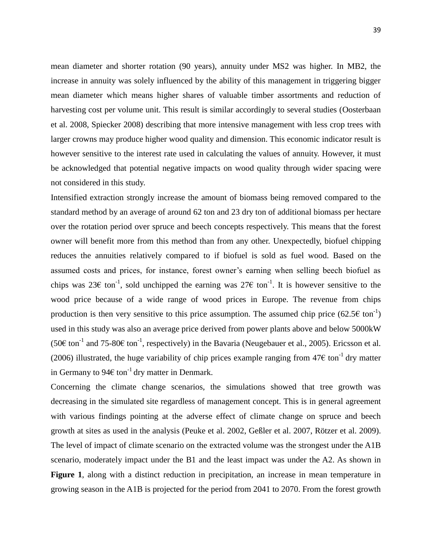mean diameter and shorter rotation (90 years), annuity under MS2 was higher. In MB2, the increase in annuity was solely influenced by the ability of this management in triggering bigger mean diameter which means higher shares of valuable timber assortments and reduction of harvesting cost per volume unit. This result is similar accordingly to several studies (Oosterbaan et al. 2008, Spiecker 2008) describing that more intensive management with less crop trees with larger crowns may produce higher wood quality and dimension. This economic indicator result is however sensitive to the interest rate used in calculating the values of annuity. However, it must be acknowledged that potential negative impacts on wood quality through wider spacing were not considered in this study.

Intensified extraction strongly increase the amount of biomass being removed compared to the standard method by an average of around 62 ton and 23 dry ton of additional biomass per hectare over the rotation period over spruce and beech concepts respectively. This means that the forest owner will benefit more from this method than from any other. Unexpectedly, biofuel chipping reduces the annuities relatively compared to if biofuel is sold as fuel wood. Based on the assumed costs and prices, for instance, forest owner's earning when selling beech biofuel as chips was 23€ ton<sup>-1</sup>, sold unchipped the earning was 27€ ton<sup>-1</sup>. It is however sensitive to the wood price because of a wide range of wood prices in Europe. The revenue from chips production is then very sensitive to this price assumption. The assumed chip price  $(62.5 \text{E ton}^{-1})$ used in this study was also an average price derived from power plants above and below 5000kW (50€ ton<sup>-1</sup> and 75-80€ ton<sup>-1</sup>, respectively) in the Bavaria (Neugebauer et al., 2005). Ericsson et al. (2006) illustrated, the huge variability of chip prices example ranging from  $47\epsilon$  ton<sup>-1</sup> dry matter in Germany to  $94\epsilon$  ton<sup>-1</sup> dry matter in Denmark.

Concerning the climate change scenarios, the simulations showed that tree growth was decreasing in the simulated site regardless of management concept. This is in general agreement with various findings pointing at the adverse effect of climate change on spruce and beech growth at sites as used in the analysis (Peuke et al. 2002, Geßler et al. 2007, Rötzer et al. 2009). The level of impact of climate scenario on the extracted volume was the strongest under the A1B scenario, moderately impact under the B1 and the least impact was under the A2. As shown in **Figure 1**, along with a distinct reduction in precipitation, an increase in mean temperature in growing season in the A1B is projected for the period from 2041 to 2070. From the forest growth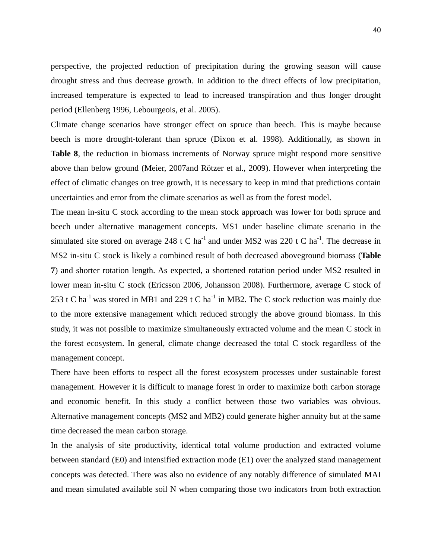perspective, the projected reduction of precipitation during the growing season will cause drought stress and thus decrease growth. In addition to the direct effects of low precipitation, increased temperature is expected to lead to increased transpiration and thus longer drought period (Ellenberg 1996, Lebourgeois, et al. 2005).

Climate change scenarios have stronger effect on spruce than beech. This is maybe because beech is more drought-tolerant than spruce (Dixon et al. 1998). Additionally, as shown in **Table 8**, the reduction in biomass increments of Norway spruce might respond more sensitive above than below ground (Meier, 2007and Rötzer et al., 2009). However when interpreting the effect of climatic changes on tree growth, it is necessary to keep in mind that predictions contain uncertainties and error from the climate scenarios as well as from the forest model.

The mean in-situ C stock according to the mean stock approach was lower for both spruce and beech under alternative management concepts. MS1 under baseline climate scenario in the simulated site stored on average 248 t C ha<sup>-1</sup> and under MS2 was 220 t C ha<sup>-1</sup>. The decrease in MS2 in-situ C stock is likely a combined result of both decreased aboveground biomass (**Table 7**) and shorter rotation length. As expected, a shortened rotation period under MS2 resulted in lower mean in-situ C stock (Ericsson 2006, Johansson 2008). Furthermore, average C stock of 253 t C ha<sup>-1</sup> was stored in MB1 and 229 t C ha<sup>-1</sup> in MB2. The C stock reduction was mainly due to the more extensive management which reduced strongly the above ground biomass. In this study, it was not possible to maximize simultaneously extracted volume and the mean C stock in the forest ecosystem. In general, climate change decreased the total C stock regardless of the management concept.

There have been efforts to respect all the forest ecosystem processes under sustainable forest management. However it is difficult to manage forest in order to maximize both carbon storage and economic benefit. In this study a conflict between those two variables was obvious. Alternative management concepts (MS2 and MB2) could generate higher annuity but at the same time decreased the mean carbon storage.

In the analysis of site productivity, identical total volume production and extracted volume between standard (E0) and intensified extraction mode (E1) over the analyzed stand management concepts was detected. There was also no evidence of any notably difference of simulated MAI and mean simulated available soil N when comparing those two indicators from both extraction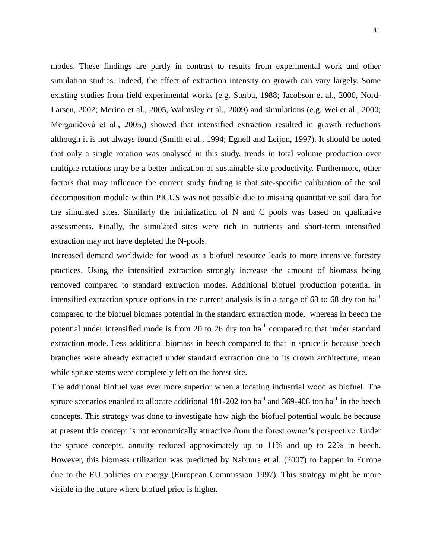modes. These findings are partly in contrast to results from experimental work and other simulation studies. Indeed, the effect of extraction intensity on growth can vary largely. Some existing studies from field experimental works (e.g. Sterba, 1988; Jacobson et al., 2000, Nord-Larsen, 2002; Merino et al., 2005, Walmsley et al., 2009) and simulations (e.g. Wei et al., 2000; Merganičová et al., 2005,) showed that intensified extraction resulted in growth reductions although it is not always found (Smith et al., 1994; Egnell and Leijon, 1997). It should be noted that only a single rotation was analysed in this study, trends in total volume production over multiple rotations may be a better indication of sustainable site productivity. Furthermore, other factors that may influence the current study finding is that site-specific calibration of the soil decomposition module within PICUS was not possible due to missing quantitative soil data for the simulated sites. Similarly the initialization of N and C pools was based on qualitative assessments. Finally, the simulated sites were rich in nutrients and short-term intensified extraction may not have depleted the N-pools.

Increased demand worldwide for wood as a biofuel resource leads to more intensive forestry practices. Using the intensified extraction strongly increase the amount of biomass being removed compared to standard extraction modes. Additional biofuel production potential in intensified extraction spruce options in the current analysis is in a range of 63 to 68 dry ton  $ha^{-1}$ compared to the biofuel biomass potential in the standard extraction mode, whereas in beech the potential under intensified mode is from 20 to 26 dry ton  $ha^{-1}$  compared to that under standard extraction mode. Less additional biomass in beech compared to that in spruce is because beech branches were already extracted under standard extraction due to its crown architecture, mean while spruce stems were completely left on the forest site.

The additional biofuel was ever more superior when allocating industrial wood as biofuel. The spruce scenarios enabled to allocate additional  $181-202$  ton ha<sup>-1</sup> and 369-408 ton ha<sup>-1</sup> in the beech concepts. This strategy was done to investigate how high the biofuel potential would be because at present this concept is not economically attractive from the forest owner's perspective. Under the spruce concepts, annuity reduced approximately up to 11% and up to 22% in beech. However, this biomass utilization was predicted by Nabuurs et al. (2007) to happen in Europe due to the EU policies on energy (European Commission 1997). This strategy might be more visible in the future where biofuel price is higher.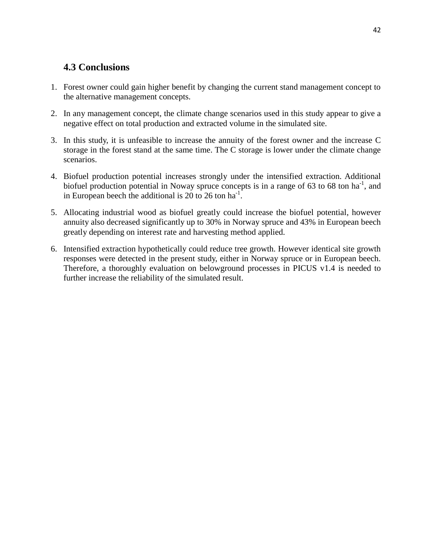## <span id="page-51-0"></span>**4.3 Conclusions**

- 1. Forest owner could gain higher benefit by changing the current stand management concept to the alternative management concepts.
- 2. In any management concept, the climate change scenarios used in this study appear to give a negative effect on total production and extracted volume in the simulated site.
- 3. In this study, it is unfeasible to increase the annuity of the forest owner and the increase C storage in the forest stand at the same time. The C storage is lower under the climate change scenarios.
- 4. Biofuel production potential increases strongly under the intensified extraction. Additional biofuel production potential in Noway spruce concepts is in a range of 63 to 68 ton ha<sup>-1</sup>, and in European beech the additional is 20 to 26 ton ha<sup>-1</sup>.
- 5. Allocating industrial wood as biofuel greatly could increase the biofuel potential, however annuity also decreased significantly up to 30% in Norway spruce and 43% in European beech greatly depending on interest rate and harvesting method applied.
- 6. Intensified extraction hypothetically could reduce tree growth. However identical site growth responses were detected in the present study, either in Norway spruce or in European beech. Therefore, a thoroughly evaluation on belowground processes in PICUS v1.4 is needed to further increase the reliability of the simulated result.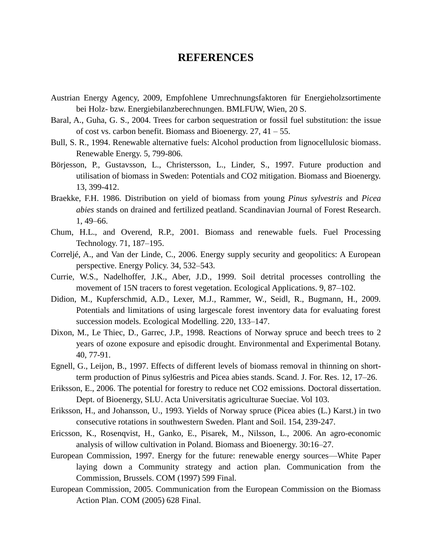## **REFERENCES**

- Austrian Energy Agency, 2009, Empfohlene Umrechnungsfaktoren für Energieholzsortimente bei Holz- bzw. Energiebilanzberechnungen. BMLFUW, Wien, 20 S.
- Baral, A., Guha, G. S., 2004. Trees for carbon sequestration or fossil fuel substitution: the issue of cost vs. carbon benefit. Biomass and Bioenergy. 27, 41 – 55.
- Bull, S. R., 1994. Renewable alternative fuels: Alcohol production from lignocellulosic biomass. Renewable Energy. 5, 799-806.
- Börjesson, P., Gustavsson, L., Christersson, L., Linder, S., 1997. Future production and utilisation of biomass in Sweden: Potentials and CO2 mitigation. Biomass and Bioenergy. 13, 399-412.
- Braekke, F.H. 1986. Distribution on yield of biomass from young *Pinus sylvestris* and *Picea abies* stands on drained and fertilized peatland. Scandinavian Journal of Forest Research. 1, 49–66.
- Chum, H.L., and Overend, R.P., 2001. Biomass and renewable fuels. Fuel Processing Technology. 71, 187–195.
- Correljé, A., and Van der Linde, C., 2006. Energy supply security and geopolitics: A European perspective. Energy Policy. 34, 532–543.
- Currie, W.S., Nadelhoffer, J.K., Aber, J.D., 1999. Soil detrital processes controlling the movement of 15N tracers to forest vegetation. Ecological Applications. 9, 87–102.
- Didion, M., Kupferschmid, A.D., Lexer, M.J., Rammer, W., Seidl, R., Bugmann, H., 2009. Potentials and limitations of using largescale forest inventory data for evaluating forest succession models. Ecological Modelling. 220, 133–147.
- Dixon, M., Le Thiec, D., Garrec, J.P., 1998. Reactions of Norway spruce and beech trees to 2 years of ozone exposure and episodic drought. Environmental and Experimental Botany. 40, 77-91.
- Egnell, G., Leijon, B., 1997. Effects of different levels of biomass removal in thinning on shortterm production of Pinus syl6estris and Picea abies stands. Scand. J. For. Res. 12, 17–26.
- Eriksson, E., 2006. The potential for forestry to reduce net CO2 emissions. Doctoral dissertation. Dept. of Bioenergy, SLU. Acta Universitatis agriculturae Sueciae. Vol 103.
- Eriksson, H., and Johansson, U., 1993. Yields of Norway spruce (Picea abies (L.) Karst.) in two consecutive rotations in southwestern Sweden. Plant and Soil. 154, 239-247.
- Ericsson, K., Rosenqvist, H., Ganko, E., Pisarek, M., Nilsson, L., 2006. An agro-economic analysis of willow cultivation in Poland. Biomass and Bioenergy. 30:16–27.
- European Commission, 1997. Energy for the future: renewable energy sources—White Paper laying down a Community strategy and action plan. Communication from the Commission, Brussels. COM (1997) 599 Final.
- European Commission, 2005. Communication from the European Commission on the Biomass Action Plan. COM (2005) 628 Final.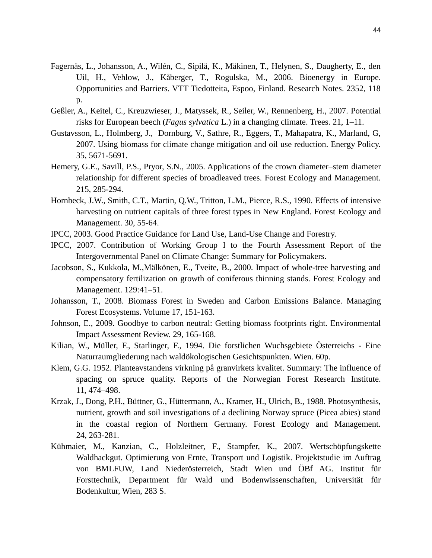- Fagernäs, L., Johansson, A., Wilén, C., Sipilä, K., Mäkinen, T., Helynen, S., Daugherty, E., den Uil, H., Vehlow, J., Kåberger, T., Rogulska, M., 2006. Bioenergy in Europe. Opportunities and Barriers. VTT Tiedotteita, Espoo, Finland. Research Notes. 2352, 118 p.
- Geßler, A., Keitel, C., Kreuzwieser, J., Matyssek, R., Seiler, W., Rennenberg, H., 2007. Potential risks for European beech (*Fagus sylvatica* L.) in a changing climate. Trees. 21, 1–11.
- Gustavsson, L., Holmberg, J., Dornburg, V., Sathre, R., Eggers, T., Mahapatra, K., Marland, G, 2007. Using biomass for climate change mitigation and oil use reduction. Energy Policy. 35, 5671-5691.
- Hemery, G.E., Savill, P.S., Pryor, S.N., 2005. Applications of the crown diameter–stem diameter relationship for different species of broadleaved trees. Forest Ecology and Management. 215, 285-294.
- Hornbeck, J.W., Smith, C.T., Martin, Q.W., Tritton, L.M., Pierce, R.S., 1990. Effects of intensive harvesting on nutrient capitals of three forest types in New England. Forest Ecology and Management. 30, 55-64.
- IPCC, 2003. Good Practice Guidance for Land Use, Land-Use Change and Forestry.
- IPCC, 2007. Contribution of Working Group I to the Fourth Assessment Report of the Intergovernmental Panel on Climate Change: Summary for Policymakers.
- Jacobson, S., Kukkola, M.,Mälkönen, E., Tveite, B., 2000. Impact of whole-tree harvesting and compensatory fertilization on growth of coniferous thinning stands. Forest Ecology and Management. 129:41–51.
- Johansson, T., 2008. Biomass Forest in Sweden and Carbon Emissions Balance. Managing Forest Ecosystems. Volume 17, 151-163.
- Johnson, E., 2009. Goodbye to carbon neutral: Getting biomass footprints right. Environmental Impact Assessment Review. 29, 165-168.
- Kilian, W., Müller, F., Starlinger, F., 1994. Die forstlichen Wuchsgebiete Österreichs Eine Naturraumgliederung nach waldökologischen Gesichtspunkten. Wien. 60p.
- Klem, G.G. 1952. Planteavstandens virkning på granvirkets kvalitet. Summary: The influence of spacing on spruce quality. Reports of the Norwegian Forest Research Institute. 11, 474–498.
- Krzak, J., Dong, P.H., Büttner, G., Hüttermann, A., Kramer, H., Ulrich, B., 1988. Photosynthesis, nutrient, growth and soil investigations of a declining Norway spruce (Picea abies) stand in the coastal region of Northern Germany. Forest Ecology and Management. 24, 263-281.
- Kühmaier, M., Kanzian, C., Holzleitner, F., Stampfer, K., 2007. Wertschöpfungskette Waldhackgut. Optimierung von Ernte, Transport und Logistik. Projektstudie im Auftrag von BMLFUW, Land Niederösterreich, Stadt Wien und ÖBf AG. Institut für Forsttechnik, Department für Wald und Bodenwissenschaften, Universität für Bodenkultur, Wien, 283 S.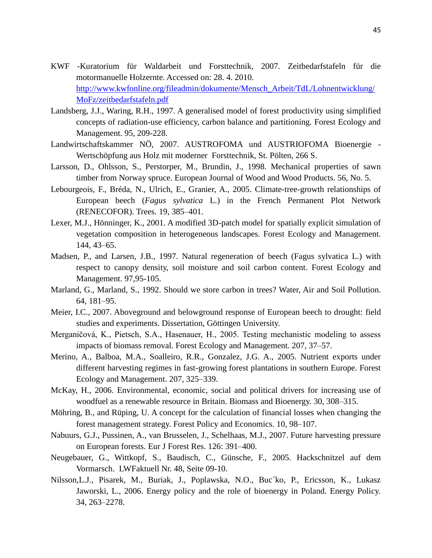- KWF -Kuratorium für Waldarbeit und Forsttechnik, 2007. Zeitbedarfstafeln für die motormanuelle Holzernte. Accessed on: 28. 4. 2010. [http://www.kwfonline.org/fileadmin/dokumente/Mensch\\_Arbeit/TdL/Lohnentwicklung/](http://www.kwfonline.org/fileadmin/dokumente/Mensch_Arbeit/TdL/Lohnentwicklung/MoFz/zeitbedarfstafeln.pdf) [MoFz/zeitbedarfstafeln.pdf](http://www.kwfonline.org/fileadmin/dokumente/Mensch_Arbeit/TdL/Lohnentwicklung/MoFz/zeitbedarfstafeln.pdf)
- Landsberg, J.J., Waring, R.H., 1997. A generalised model of forest productivity using simplified concepts of radiation-use efficiency, carbon balance and partitioning. Forest Ecology and Management. 95, 209-228.
- Landwirtschaftskammer NÖ, 2007. AUSTROFOMA und AUSTRIOFOMA Bioenergie Wertschöpfung aus Holz mit moderner Forsttechnik, St. Pölten, 266 S.
- Larsson, D., Ohlsson, S., Perstorper, M., Brundin, J., 1998. Mechanical properties of sawn timber from Norway spruce. European Journal of Wood and Wood Products. 56, No. 5.
- Lebourgeois, F., Bréda, N., Ulrich, E., Granier, A., 2005. Climate-tree-growth relationships of European beech (*Fagus sylvatica* L.) in the French Permanent Plot Network (RENECOFOR). Trees. 19, 385–401.
- Lexer, M.J., Hönninger, K., 2001. A modified 3D-patch model for spatially explicit simulation of vegetation composition in heterogeneous landscapes. Forest Ecology and Management. 144, 43–65.
- Madsen, P., and Larsen, J.B., 1997. Natural regeneration of beech (Fagus sylvatica L.) with respect to canopy density, soil moisture and soil carbon content. Forest Ecology and Management. 97,95-105.
- Marland, G., Marland, S., 1992. Should we store carbon in trees? Water, Air and Soil Pollution. 64, 181–95.
- Meier, I.C., 2007. Aboveground and belowground response of European beech to drought: field studies and experiments. Dissertation, Göttingen University.
- Merganičová, K., Pietsch, S.A., Hasenauer, H., 2005. Testing mechanistic modeling to assess impacts of biomass removal. Forest Ecology and Management. 207, 37–57.
- Merino, A., Balboa, M.A., Soalleiro, R.R., Gonzalez, J.G. A., 2005. Nutrient exports under different harvesting regimes in fast-growing forest plantations in southern Europe. Forest Ecology and Management. 207, 325–339.
- McKay, H., 2006. Environmental, economic, social and political drivers for increasing use of woodfuel as a renewable resource in Britain. Biomass and Bioenergy. 30, 308–315.
- Möhring, B., and Rüping, U. A concept for the calculation of financial losses when changing the forest management strategy. Forest Policy and Economics. 10, 98–107.
- Nabuurs, G.J., Pussinen, A., van Brusselen, J., Schelhaas, M.J., 2007. Future harvesting pressure on European forests. Eur J Forest Res. 126: 391–400.
- Neugebauer, G., Wittkopf, S., Baudisch, C., Günsche, F., 2005. Hackschnitzel auf dem Vormarsch. LWFaktuell Nr. 48, Seite 09-10.
- Nilsson,L.J., Pisarek, M., Buriak, J., Poplawska, N.O., Buc´ko, P., Ericsson, K., Lukasz Jaworski, L., 2006. Energy policy and the role of bioenergy in Poland. Energy Policy. 34, 263–2278.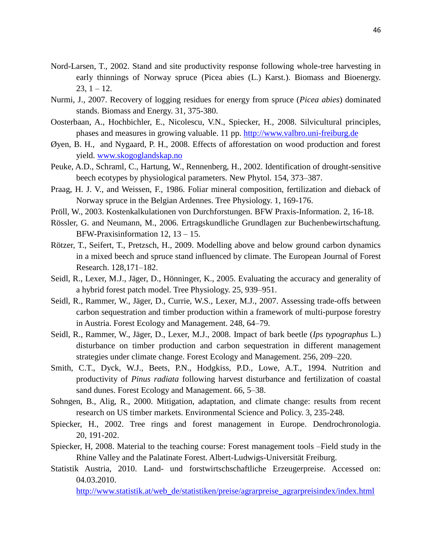- Nord-Larsen, T., 2002. Stand and site productivity response following whole-tree harvesting in early thinnings of Norway spruce (Picea abies (L.) Karst.). Biomass and Bioenergy.  $23, 1 - 12.$
- Nurmi, J., 2007. Recovery of logging residues for energy from spruce (*Picea abies*) dominated stands. Biomass and Energy. 31, 375-380.
- Oosterbaan, A., Hochbichler, E., Nicolescu, V.N., Spiecker, H., 2008. Silvicultural principles, phases and measures in growing valuable. 11 pp. [http://www.valbro.uni-freiburg.de](http://www.valbro.uni-freiburg.de/)
- Øyen, B. H., and Nygaard, P. H., 2008. Effects of afforestation on wood production and forest yield. [www.skogoglandskap.no](http://www.skogoglandskap.no/)
- Peuke, A.D., Schraml, C., Hartung, W., Rennenberg, H., 2002. Identification of drought-sensitive beech ecotypes by physiological parameters. New Phytol. 154, 373–387.
- Praag, H. J. V., and Weissen, F., 1986. Foliar mineral composition, fertilization and dieback of Norway spruce in the Belgian Ardennes. Tree Physiology. 1, 169-176.
- Pröll, W., 2003. Kostenkalkulationen von Durchforstungen. BFW Praxis-Information. 2, 16-18.
- Rössler, G. and Neumann, M., 2006. Ertragskundliche Grundlagen zur Buchenbewirtschaftung. BFW-Praxisinformation 12, 13 – 15.
- Rötzer, T., Seifert, T., Pretzsch, H., 2009. Modelling above and below ground carbon dynamics in a mixed beech and spruce stand influenced by climate. The European Journal of Forest Research. 128,171–182.
- Seidl, R., Lexer, M.J., Jäger, D., Hönninger, K., 2005. Evaluating the accuracy and generality of a hybrid forest patch model. Tree Physiology. 25, 939–951.
- Seidl, R., Rammer, W., Jäger, D., Currie, W.S., Lexer, M.J., 2007. Assessing trade-offs between carbon sequestration and timber production within a framework of multi-purpose forestry in Austria. Forest Ecology and Management. 248, 64–79.
- Seidl, R., Rammer, W., Jäger, D., Lexer, M.J., 2008. Impact of bark beetle (*Ips typographus* L.) disturbance on timber production and carbon sequestration in different management strategies under climate change. Forest Ecology and Management. 256, 209–220.
- Smith, C.T., Dyck, W.J., Beets, P.N., Hodgkiss, P.D., Lowe, A.T., 1994. Nutrition and productivity of *Pinus radiata* following harvest disturbance and fertilization of coastal sand dunes. Forest Ecology and Management. 66, 5–38.
- Sohngen, B., Alig, R., 2000. Mitigation, adaptation, and climate change: results from recent research on US timber markets. Environmental Science and Policy. 3, 235-248.
- Spiecker, H., 2002. Tree rings and forest management in Europe. Dendrochronologia. 20, 191-202.
- Spiecker, H, 2008. Material to the teaching course: Forest management tools –Field study in the Rhine Valley and the Palatinate Forest. Albert-Ludwigs-Universität Freiburg.
- Statistik Austria, 2010. Land- und forstwirtschschaftliche Erzeugerpreise. Accessed on: 04.03.2010.

[http://www.statistik.at/web\\_de/statistiken/preise/agrarpreise\\_agrarpreisindex/index.html](http://www.statistik.at/web_de/statistiken/preise/agrarpreise_agrarpreisindex/index.html)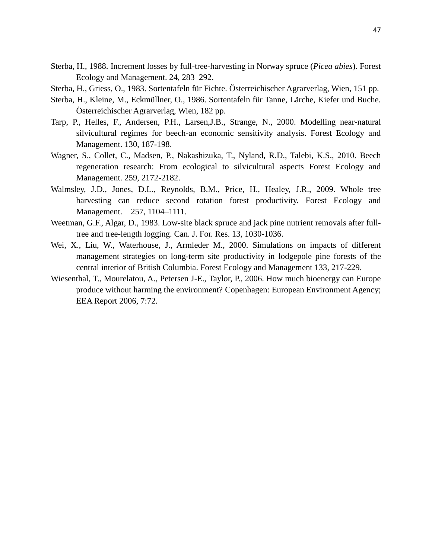- Sterba, H., 1988. Increment losses by full-tree-harvesting in Norway spruce (*Picea abies*). Forest Ecology and Management. 24, 283–292.
- Sterba, H., Griess, O., 1983. Sortentafeln für Fichte. Österreichischer Agrarverlag, Wien, 151 pp.
- Sterba, H., Kleine, M., Eckmüllner, O., 1986. Sortentafeln für Tanne, Lärche, Kiefer und Buche. Österreichischer Agrarverlag, Wien, 182 pp.
- Tarp, P., Helles, F., Andersen, P.H., Larsen,J.B., Strange, N., 2000. Modelling near-natural silvicultural regimes for beech-an economic sensitivity analysis. Forest Ecology and Management. 130, 187-198.
- Wagner, S., Collet, C., Madsen, P., Nakashizuka, T., Nyland, R.D., Talebi, K.S., 2010. Beech regeneration research: From ecological to silvicultural aspects Forest Ecology and Management. 259, 2172-2182.
- Walmsley, J.D., Jones, D.L., Reynolds, B.M., Price, H., Healey, J.R., 2009. Whole tree harvesting can reduce second rotation forest productivity. Forest Ecology and Management. 257, 1104–1111.
- Weetman, G.F., Algar, D., 1983. Low-site black spruce and jack pine nutrient removals after fulltree and tree-length logging. Can. J. For. Res. 13, 1030-1036.
- Wei, X., Liu, W., Waterhouse, J., Armleder M., 2000. Simulations on impacts of different management strategies on long-term site productivity in lodgepole pine forests of the central interior of British Columbia. Forest Ecology and Management 133, 217-229.
- Wiesenthal, T., Mourelatou, A., Petersen J-E., Taylor, P., 2006. How much bioenergy can Europe produce without harming the environment? Copenhagen: European Environment Agency; EEA Report 2006, 7:72.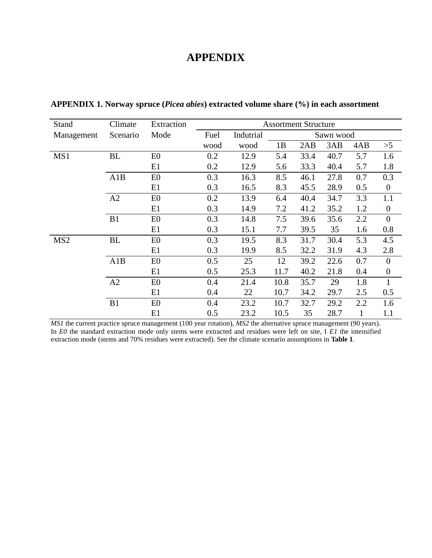## **APPENDIX**

| Stand           | Climate   | Extraction     | <b>Assortment Structure</b> |           |      |      |           |              |                  |  |
|-----------------|-----------|----------------|-----------------------------|-----------|------|------|-----------|--------------|------------------|--|
| Management      | Scenario  | Mode           | Fuel                        | Indutrial |      |      | Sawn wood |              |                  |  |
|                 |           |                | wood                        | wood      | 1B   | 2AB  | 3AB       | 4AB          | >5               |  |
| MS1             | <b>BL</b> | E <sub>0</sub> | 0.2                         | 12.9      | 5.4  | 33.4 | 40.7      | 5.7          | 1.6              |  |
|                 |           | E1             | 0.2                         | 12.9      | 5.6  | 33.3 | 40.4      | 5.7          | 1.8              |  |
|                 | A1B       | E0             | 0.3                         | 16.3      | 8.5  | 46.1 | 27.8      | 0.7          | 0.3              |  |
|                 |           | E1             | 0.3                         | 16.5      | 8.3  | 45.5 | 28.9      | 0.5          | $\boldsymbol{0}$ |  |
|                 | A2        | E0             | 0.2                         | 13.9      | 6.4  | 40.4 | 34.7      | 3.3          | 1.1              |  |
|                 |           | E1             | 0.3                         | 14.9      | 7.2  | 41.2 | 35.2      | 1.2          | $\boldsymbol{0}$ |  |
|                 | B1        | E0             | 0.3                         | 14.8      | 7.5  | 39.6 | 35.6      | 2.2          | $\boldsymbol{0}$ |  |
|                 |           | E1             | 0.3                         | 15.1      | 7.7  | 39.5 | 35        | 1.6          | 0.8              |  |
| MS <sub>2</sub> | <b>BL</b> | E0             | 0.3                         | 19.5      | 8.3  | 31.7 | 30.4      | 5.3          | 4.5              |  |
|                 |           | E1             | 0.3                         | 19.9      | 8.5  | 32.2 | 31.9      | 4.3          | 2.8              |  |
|                 | A1B       | E <sub>0</sub> | 0.5                         | 25        | 12   | 39.2 | 22.6      | 0.7          | $\overline{0}$   |  |
|                 |           | E1             | 0.5                         | 25.3      | 11.7 | 40.2 | 21.8      | 0.4          | $\boldsymbol{0}$ |  |
|                 | A2        | E0             | 0.4                         | 21.4      | 10.8 | 35.7 | 29        | 1.8          | $\mathbf{1}$     |  |
|                 |           | E1             | 0.4                         | 22        | 10.7 | 34.2 | 29.7      | 2.5          | 0.5              |  |
|                 | B1        | E0             | 0.4                         | 23.2      | 10.7 | 32.7 | 29.2      | 2.2          | 1.6              |  |
|                 |           | E1             | 0.5                         | 23.2      | 10.5 | 35   | 28.7      | $\mathbf{1}$ | 1.1              |  |

**APPENDIX 1. Norway spruce (***Picea abies***) extracted volume share (%) in each assortment**

*MS1* the current practice spruce management (100 year rotation), *MS2* the alternative spruce management (90 years). In *E0* the standard extraction mode only stems were extracted and residues were left on site, I *E1* the intensified extraction mode (stems and 70% residues were extracted). See the climate scenario assumptions in **Table 1**.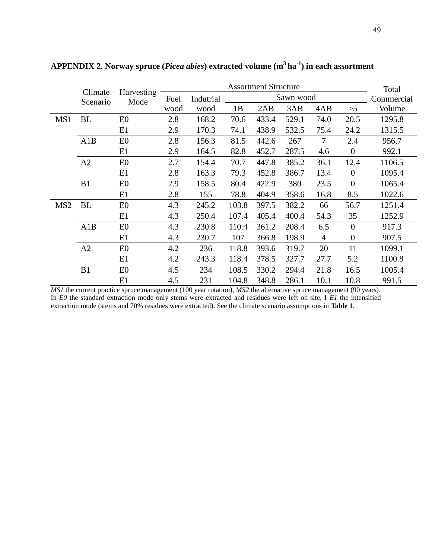|                 |                     |                    |      |           |       | <b>Assortment Structure</b> |           |                |                  | Total      |
|-----------------|---------------------|--------------------|------|-----------|-------|-----------------------------|-----------|----------------|------------------|------------|
|                 | Climate<br>Scenario | Harvesting<br>Mode | Fuel | Indutrial |       |                             | Sawn wood |                |                  | Commercial |
|                 |                     |                    | wood | wood      | 1B    | 2AB                         | 3AB       | 4AB            | >5               | Volume     |
| MS1             | BL                  | E <sub>0</sub>     | 2.8  | 168.2     | 70.6  | 433.4                       | 529.1     | 74.0           | 20.5             | 1295.8     |
|                 |                     | E1                 | 2.9  | 170.3     | 74.1  | 438.9                       | 532.5     | 75.4           | 24.2             | 1315.5     |
|                 | A1B                 | E <sub>0</sub>     | 2.8  | 156.3     | 81.5  | 442.6                       | 267       | $\tau$         | 2.4              | 956.7      |
|                 |                     | E1                 | 2.9  | 164.5     | 82.8  | 452.7                       | 287.5     | 4.6            | $\overline{0}$   | 992.1      |
|                 | A2                  | E <sub>0</sub>     | 2.7  | 154.4     | 70.7  | 447.8                       | 385.2     | 36.1           | 12.4             | 1106.5     |
|                 |                     | E1                 | 2.8  | 163.3     | 79.3  | 452.8                       | 386.7     | 13.4           | $\overline{0}$   | 1095.4     |
|                 | B1                  | E <sub>0</sub>     | 2.9  | 158.5     | 80.4  | 422.9                       | 380       | 23.5           | $\theta$         | 1065.4     |
|                 |                     | E1                 | 2.8  | 155       | 78.8  | 404.9                       | 358.6     | 16.8           | 8.5              | 1022.6     |
| MS <sub>2</sub> | <b>BL</b>           | E <sub>0</sub>     | 4.3  | 245.2     | 103.8 | 397.5                       | 382.2     | 66             | 56.7             | 1251.4     |
|                 |                     | E1                 | 4.3  | 250.4     | 107.4 | 405.4                       | 400.4     | 54.3           | 35               | 1252.9     |
|                 | A1B                 | E <sub>0</sub>     | 4.3  | 230.8     | 110.4 | 361.2                       | 208.4     | 6.5            | $\overline{0}$   | 917.3      |
|                 |                     | E1                 | 4.3  | 230.7     | 107   | 366.8                       | 198.9     | $\overline{4}$ | $\boldsymbol{0}$ | 907.5      |
|                 | A2                  | E0                 | 4.2  | 236       | 118.8 | 393.6                       | 319.7     | 20             | 11               | 1099.1     |
|                 |                     | E1                 | 4.2  | 243.3     | 118.4 | 378.5                       | 327.7     | 27.7           | 5.2              | 1100.8     |
|                 | B1                  | E <sub>0</sub>     | 4.5  | 234       | 108.5 | 330.2                       | 294.4     | 21.8           | 16.5             | 1005.4     |
|                 |                     | E1                 | 4.5  | 231       | 104.8 | 348.8                       | 286.1     | 10.1           | 10.8             | 991.5      |

**APPENDIX 2. Norway spruce (***Picea abies***) extracted volume (m<sup>3</sup> ha-1 ) in each assortment** 

*MS1* the current practice spruce management (100 year rotation), *MS2* the alternative spruce management (90 years). In *E0* the standard extraction mode only stems were extracted and residues were left on site, I *E1* the intensified extraction mode (stems and 70% residues were extracted). See the climate scenario assumptions in **Table 1**.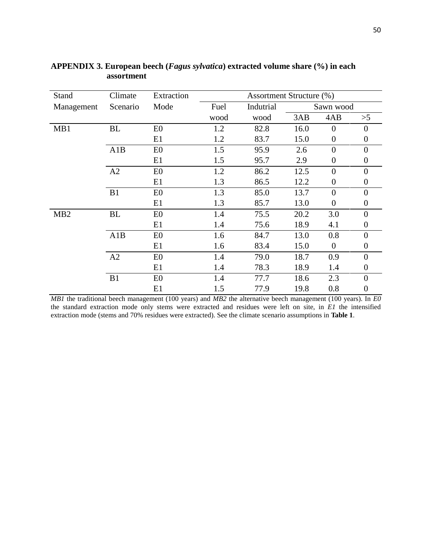| Stand           | Climate   | Extraction     | <b>Assortment Structure (%)</b> |           |      |                  |                  |  |  |  |
|-----------------|-----------|----------------|---------------------------------|-----------|------|------------------|------------------|--|--|--|
| Management      | Scenario  | Mode           | Fuel                            | Indutrial |      | Sawn wood        |                  |  |  |  |
|                 |           |                | wood                            | wood      | 3AB  | 4AB              | >5               |  |  |  |
| MB1             | <b>BL</b> | E <sub>0</sub> | 1.2                             | 82.8      | 16.0 | $\overline{0}$   | $\overline{0}$   |  |  |  |
|                 |           | E1             | 1.2                             | 83.7      | 15.0 | $\boldsymbol{0}$ | $\boldsymbol{0}$ |  |  |  |
|                 | A1B       | E0             | 1.5                             | 95.9      | 2.6  | $\overline{0}$   | $\theta$         |  |  |  |
|                 |           | E1             | 1.5                             | 95.7      | 2.9  | $\boldsymbol{0}$ | $\Omega$         |  |  |  |
|                 | A2        | E <sub>0</sub> | 1.2                             | 86.2      | 12.5 | $\overline{0}$   | $\theta$         |  |  |  |
|                 |           | E1             | 1.3                             | 86.5      | 12.2 | $\boldsymbol{0}$ | $\boldsymbol{0}$ |  |  |  |
|                 | B1        | E0             | 1.3                             | 85.0      | 13.7 | $\overline{0}$   | $\overline{0}$   |  |  |  |
|                 |           | E1             | 1.3                             | 85.7      | 13.0 | $\boldsymbol{0}$ | $\boldsymbol{0}$ |  |  |  |
| MB <sub>2</sub> | BL        | E0             | 1.4                             | 75.5      | 20.2 | 3.0              | $\overline{0}$   |  |  |  |
|                 |           | E1             | 1.4                             | 75.6      | 18.9 | 4.1              | $\boldsymbol{0}$ |  |  |  |
|                 | A1B       | E0             | 1.6                             | 84.7      | 13.0 | 0.8              | $\overline{0}$   |  |  |  |
|                 |           | E1             | 1.6                             | 83.4      | 15.0 | $\boldsymbol{0}$ | $\boldsymbol{0}$ |  |  |  |
|                 | A2        | E0             | 1.4                             | 79.0      | 18.7 | 0.9              | $\overline{0}$   |  |  |  |
|                 |           | E1             | 1.4                             | 78.3      | 18.9 | 1.4              | $\boldsymbol{0}$ |  |  |  |
|                 | B1        | E <sub>0</sub> | 1.4                             | 77.7      | 18.6 | 2.3              | $\overline{0}$   |  |  |  |
|                 |           | E1             | 1.5                             | 77.9      | 19.8 | 0.8              | $\boldsymbol{0}$ |  |  |  |

#### **APPENDIX 3. European beech (***Fagus sylvatica***) extracted volume share (%) in each assortment**

*MB1* the traditional beech management (100 years) and *MB2* the alternative beech management (100 years). In *E0* the standard extraction mode only stems were extracted and residues were left on site, in *E1* the intensified extraction mode (stems and 70% residues were extracted). See the climate scenario assumptions in **Table 1**.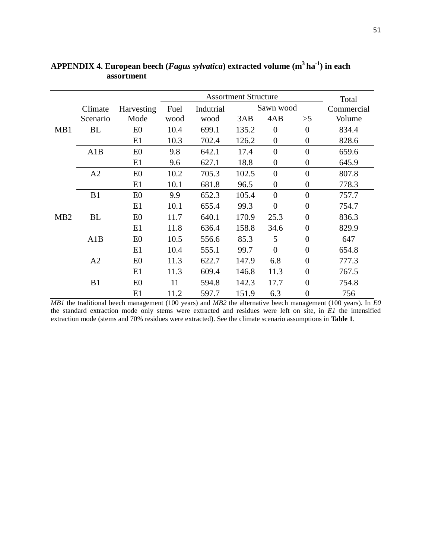|                 |           |                |      |           | Total |                  |                  |            |
|-----------------|-----------|----------------|------|-----------|-------|------------------|------------------|------------|
|                 | Climate   | Harvesting     | Fuel | Indutrial |       | Sawn wood        |                  | Commercial |
|                 | Scenario  | Mode           | wood | wood      | 3AB   | 4AB              | >5               | Volume     |
| MB1             | BL        | E <sub>0</sub> | 10.4 | 699.1     | 135.2 | $\theta$         | $\theta$         | 834.4      |
|                 |           | E1             | 10.3 | 702.4     | 126.2 | $\boldsymbol{0}$ | $\overline{0}$   | 828.6      |
|                 | A1B       | E <sub>0</sub> | 9.8  | 642.1     | 17.4  | $\overline{0}$   | $\overline{0}$   | 659.6      |
|                 |           | E1             | 9.6  | 627.1     | 18.8  | $\boldsymbol{0}$ | $\overline{0}$   | 645.9      |
|                 | A2        | E <sub>0</sub> | 10.2 | 705.3     | 102.5 | $\overline{0}$   | $\overline{0}$   | 807.8      |
|                 |           | E1             | 10.1 | 681.8     | 96.5  | $\overline{0}$   | $\overline{0}$   | 778.3      |
|                 | B1        | E <sub>0</sub> | 9.9  | 652.3     | 105.4 | $\overline{0}$   | $\overline{0}$   | 757.7      |
|                 |           | E1             | 10.1 | 655.4     | 99.3  | $\overline{0}$   | $\overline{0}$   | 754.7      |
| MB <sub>2</sub> | <b>BL</b> | E <sub>0</sub> | 11.7 | 640.1     | 170.9 | 25.3             | $\overline{0}$   | 836.3      |
|                 |           | E1             | 11.8 | 636.4     | 158.8 | 34.6             | $\overline{0}$   | 829.9      |
|                 | A1B       | E <sub>0</sub> | 10.5 | 556.6     | 85.3  | 5                | $\overline{0}$   | 647        |
|                 |           | E1             | 10.4 | 555.1     | 99.7  | $\boldsymbol{0}$ | $\overline{0}$   | 654.8      |
|                 | A2        | E <sub>0</sub> | 11.3 | 622.7     | 147.9 | 6.8              | $\overline{0}$   | 777.3      |
|                 |           | E1             | 11.3 | 609.4     | 146.8 | 11.3             | $\overline{0}$   | 767.5      |
|                 | B1        | E <sub>0</sub> | 11   | 594.8     | 142.3 | 17.7             | $\overline{0}$   | 754.8      |
|                 |           | E1             | 11.2 | 597.7     | 151.9 | 6.3              | $\boldsymbol{0}$ | 756        |

**APPENDIX 4. European beech (***Fagus sylvatica***) extracted volume (m<sup>3</sup> ha-1 ) in each assortment** 

*MB1* the traditional beech management (100 years) and *MB2* the alternative beech management (100 years). In *E0* the standard extraction mode only stems were extracted and residues were left on site, in *E1* the intensified extraction mode (stems and 70% residues were extracted). See the climate scenario assumptions in **Table 1**.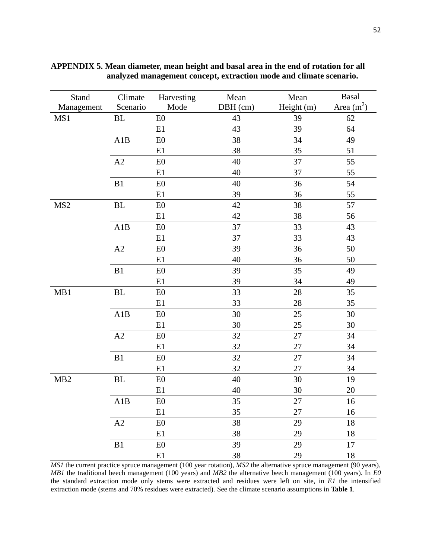| Stand           | Climate       | Harvesting | Mean     | Mean       | <b>Basal</b> |
|-----------------|---------------|------------|----------|------------|--------------|
| Management      | Scenario      | Mode       | DBH (cm) | Height (m) | Area $(m^2)$ |
| MS1             | <b>BL</b>     | E0         | 43       | 39         | 62           |
|                 |               | E1         | 43       | 39         | 64           |
|                 | A1B           | ${\rm E0}$ | 38       | 34         | 49           |
|                 |               | E1         | 38       | 35         | 51           |
|                 | $\rm A2$      | E0         | 40       | 37         | 55           |
|                 |               | E1         | 40       | 37         | 55           |
|                 | B1            | E0         | 40       | 36         | 54           |
|                 |               | E1         | 39       | 36         | 55           |
| MS <sub>2</sub> | $\rm BL$      | E0         | 42       | 38         | 57           |
|                 |               | E1         | 42       | 38         | 56           |
|                 | A1B           | E0         | 37       | 33         | 43           |
|                 |               | E1         | 37       | 33         | 43           |
|                 | $\mathbf{A2}$ | E0         | 39       | 36         | 50           |
|                 |               | E1         | 40       | 36         | 50           |
|                 | B1            | E0         | 39       | 35         | 49           |
|                 |               | E1         | 39       | 34         | 49           |
| MB1             | $\mathbf{BL}$ | ${\rm E0}$ | 33       | 28         | 35           |
|                 |               | E1         | 33       | 28         | 35           |
|                 | A1B           | E0         | 30       | 25         | 30           |
|                 |               | E1         | 30       | 25         | 30           |
|                 | $\mathbf{A2}$ | E0         | 32       | 27         | 34           |
|                 |               | E1         | 32       | 27         | 34           |
|                 | B1            | E0         | 32       | 27         | 34           |
|                 |               | E1         | 32       | 27         | 34           |
| MB <sub>2</sub> | $\rm BL$      | E0         | 40       | 30         | 19           |
|                 |               | E1         | 40       | $30\,$     | 20           |
|                 | A1B           | E0         | 35       | 27         | 16           |
|                 |               | E1         | 35       | 27         | 16           |
|                 | $\rm A2$      | E0         | 38       | 29         | 18           |
|                 |               | E1         | 38       | 29         | 18           |
|                 | $\mathbf{B}1$ | E0         | 39       | 29         | 17           |
|                 |               | E1         | 38       | 29         | 18           |

**APPENDIX 5. Mean diameter, mean height and basal area in the end of rotation for all analyzed management concept, extraction mode and climate scenario.** 

*MS1* the current practice spruce management (100 year rotation), *MS2* the alternative spruce management (90 years), *MB1* the traditional beech management (100 years) and *MB2* the alternative beech management (100 years). In *E0* the standard extraction mode only stems were extracted and residues were left on site, in *E1* the intensified extraction mode (stems and 70% residues were extracted). See the climate scenario assumptions in **Table 1**.